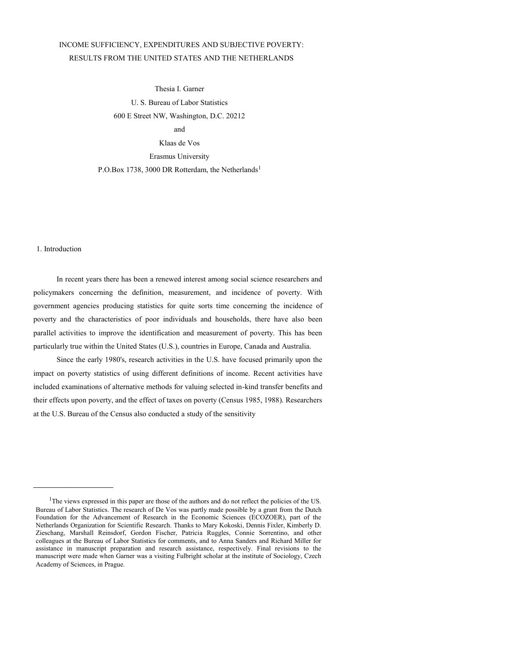# INCOME SUFFICIENCY, EXPENDITURES AND SUBJECTIVE POVERTY: RESULTS FROM THE UNITED STATES AND THE NETHERLANDS

Thesia I. Garner U. S. Bureau of Labor Statistics 600 E Street NW, Washington, D.C. 20212 and Klaas de Vos Erasmus University

P.O.Box 1738, 3000 DR Rotterdam, the Netherlands<sup>1</sup>

1. Introduction

 $\_$ 

In recent years there has been a renewed interest among social science researchers and policymakers concerning the definition, measurement, and incidence of poverty. With government agencies producing statistics for quite sorts time concerning the incidence of poverty and the characteristics of poor individuals and households, there have also been parallel activities to improve the identification and measurement of poverty. This has been particularly true within the United States (U.S.), countries in Europe, Canada and Australia.

Since the early 1980's, research activities in the U.S. have focused primarily upon the impact on poverty statistics of using different definitions of income. Recent activities have included examinations of alternative methods for valuing selected in-kind transfer benefits and their effects upon poverty, and the effect of taxes on poverty (Census 1985, 1988). Researchers at the U.S. Bureau of the Census also conducted a study of the sensitivity

<sup>&</sup>lt;sup>1</sup>The views expressed in this paper are those of the authors and do not reflect the policies of the US. Bureau of Labor Statistics. The research of De Vos was partly made possible by a grant from the Dutch Foundation for the Advancement of Research in the Economic Sciences (ECOZOER), part of the Netherlands Organization for Scientific Research. Thanks to Mary Kokoski, Dennis Fixler, Kimberly D. Zieschang, Marshall Reinsdorf, Gordon Fischer, Patricia Ruggles, Connie Sorrentino, and other colleagues at the Bureau of Labor Statistics for comments, and to Anna Sanders and Richard Miller for assistance in manuscript preparation and research assistance, respectively. Final revisions to the manuscript were made when Garner was a visiting Fulbright scholar at the institute of Sociology, Czech Academy of Sciences, in Prague.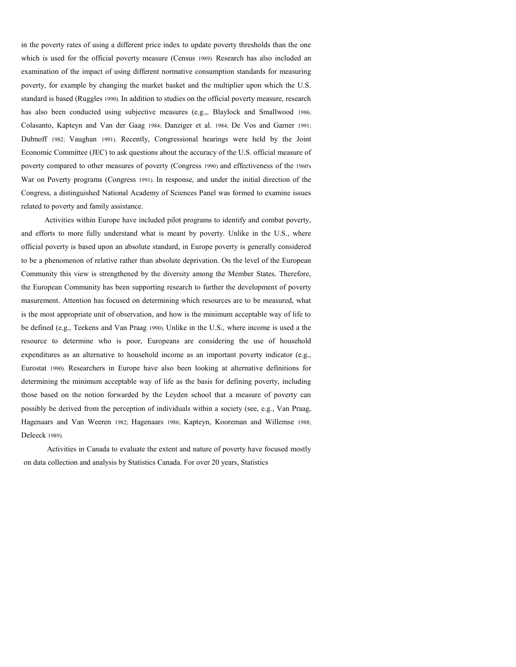in the poverty rates of using a different price index to update poverty thresholds than the one which is used for the official poverty measure (Census 1989). Research has also included an examination of the impact of using different normative consumption standards for measuring poverty, for example by changing the market basket and the multiplier upon which the U.S. standard is based (Ruggles 1990). In addition to studies on the official poverty measure, research has also been conducted using subjective measures (e.g.,. Blaylock and Smallwood 1986; Colasanto, Kapteyn and Van der Gaag 1984; Danziger et al. 1984; De Vos and Garner 1991; Dubnoff 1982; Vaughan 1991). Recently, Congressional hearings were held by the Joint Economic Committee (JEC) to ask questions about the accuracy of the U.S. official measure of poverty compared to other measures of poverty (Congress 1990) and effectiveness of the 1960's War on Poverty programs (Congress 1991). In response, and under the initial direction of the Congress, a distinguished National Academy of Sciences Panel was formed to examine issues related to poverty and family assistance.

Activities within Europe have included pilot programs to identify and combat poverty, and efforts to more fully understand what is meant by poverty. Unlike in the U.S., where official poverty is based upon an absolute standard, in Europe poverty is generally considered to be a phenomenon of relative rather than absolute deprivation. On the level of the European Community this view is strengthened by the diversity among the Member States. Therefore, the European Community has been supporting research to further the development of poverty masurement. Attention has focused on determining which resources are to be measured, what is the most appropriate unit of observation, and how is the minimum acceptable way of life to be defined (e.g., Teekens and Van Praag 1990). Unlike in the U.S., where income is used a the resource to determine who is poor, Europeans are considering the use of household expenditures as an alternative to household income as an important poverty indicator (e.g., Eurostat 1990). Researchers in Europe have also been looking at alternative definitions for determining the minimum acceptable way of life as the basis for defining poverty, including those based on the notion forwarded by the Leyden school that a measure of poverty can possibly be derived from the perception of individuals within a society (see, e.g., Van Praag, Hagenaars and Van Weeren 1982; Hagenaars 1986; Kapteyn, Kooreman and Willemse 1988; Deleeck 1989).

Activities in Canada to evaluate the extent and nature of poverty have focused mostly on data collection and analysis by Statistics Canada. For over 20 years, Statistics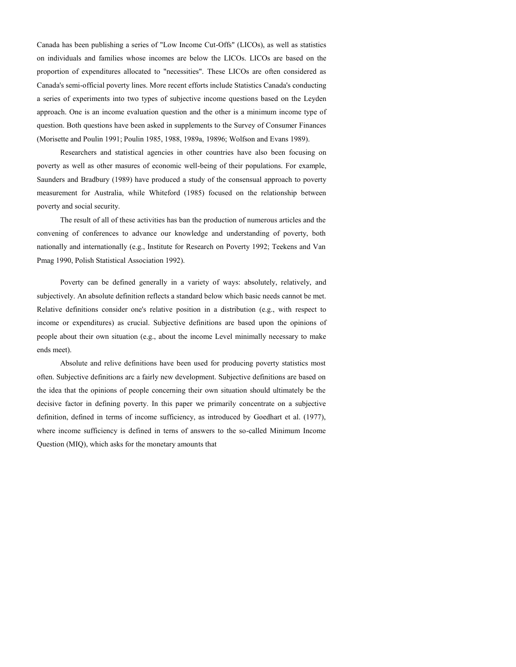Canada has been publishing a series of "Low Income Cut-Offs" (LICOs), as well as statistics on individuals and families whose incomes are below the LICOs. LICOs are based on the proportion of expenditures allocated to "necessities". These LICOs are often considered as Canada's semi-official poverty lines. More recent efforts include Statistics Canada's conducting a series of experiments into two types of subjective income questions based on the Leyden approach. One is an income evaluation question and the other is a minimum income type of question. Both questions have been asked in supplements to the Survey of Consumer Finances (Morisette and Poulin 1991; Poulin 1985, 1988, 1989a, 19896; Wolfson and Evans 1989).

Researchers and statistical agencies in other countries have also been focusing on poverty as well as other masures of economic well-being of their populations. For example, Saunders and Bradbury (1989) have produced a study of the consensual approach to poverty measurement for Australia, while Whiteford (1985) focused on the relationship between poverty and social security.

The result of all of these activities has ban the production of numerous articles and the convening of conferences to advance our knowledge and understanding of poverty, both nationally and internationally (e.g., Institute for Research on Poverty 1992; Teekens and Van Pmag 1990, Polish Statistical Association 1992).

Poverty can be defined generally in a variety of ways: absolutely, relatively, and subjectively. An absolute definition reflects a standard below which basic needs cannot be met. Relative definitions consider one's relative position in a distribution (e.g., with respect to income or expenditures) as crucial. Subjective definitions are based upon the opinions of people about their own situation (e.g., about the income Level minimally necessary to make ends meet).

Absolute and relive definitions have been used for producing poverty statistics most often. Subjective definitions arc a fairly new development. Subjective definitions are based on the idea that the opinions of people concerning their own situation should ultimately be the decisive factor in defining poverty. In this paper we primarily concentrate on a subjective definition, defined in terms of income sufficiency, as introduced by Goedhart et al. (1977), where income sufficiency is defined in terns of answers to the so-called Minimum Income Question (MIQ), which asks for the monetary amounts that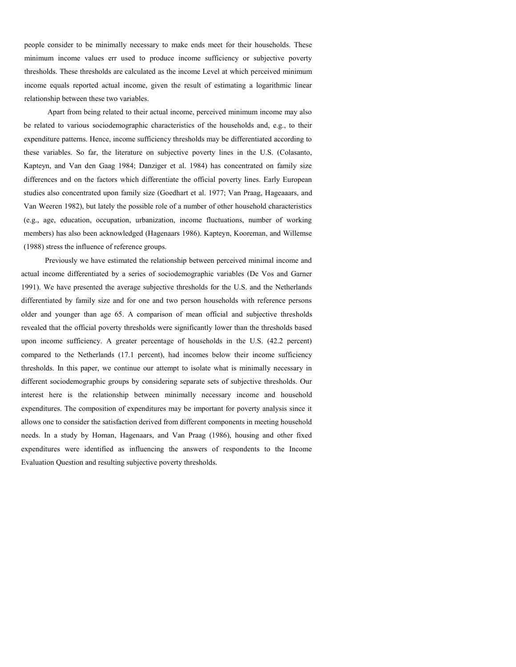people consider to be minimally necessary to make ends meet for their households. These minimum income values err used to produce income sufficiency or subjective poverty thresholds. These thresholds are calculated as the income Level at which perceived minimum income equals reported actual income, given the result of estimating a logarithmic linear relationship between these two variables.

Apart from being related to their actual income, perceived minimum income may also be related to various sociodemographic characteristics of the households and, e.g., to their expenditure patterns. Hence, income sufficiency thresholds may be differentiated according to these variables. So far, the literature on subjective poverty lines in the U.S. (Colasanto, Kapteyn, and Van den Gaag 1984; Danziger et al. 1984) has concentrated on family size differences and on the factors which differentiate the official poverty lines. Early European studies also concentrated upon family size (Goedhart et al. 1977; Van Praag, Hageaaars, and Van Weeren 1982), but lately the possible role of a number of other household characteristics (e.g., age, education, occupation, urbanization, income fluctuations, number of working members) has also been acknowledged (Hagenaars 1986). Kapteyn, Kooreman, and Willemse (1988) stress the influence of reference groups.

Previously we have estimated the relationship between perceived minimal income and actual income differentiated by a series of sociodemographic variables (De Vos and Garner 1991). We have presented the average subjective thresholds for the U.S. and the Netherlands differentiated by family size and for one and two person households with reference persons older and younger than age 65. A comparison of mean official and subjective thresholds revealed that the official poverty thresholds were significantly lower than the thresholds based upon income sufficiency. A greater percentage of households in the U.S. (42.2 percent) compared to the Netherlands (17.1 percent), had incomes below their income sufficiency thresholds. In this paper, we continue our attempt to isolate what is minimally necessary in different sociodemographic groups by considering separate sets of subjective thresholds. Our interest here is the relationship between minimally necessary income and household expenditures. The composition of expenditures may be important for poverty analysis since it allows one to consider the satisfaction derived from different components in meeting household needs. In a study by Homan, Hagenaars, and Van Praag (1986), housing and other fixed expenditures were identified as influencing the answers of respondents to the Income Evaluation Question and resulting subjective poverty thresholds.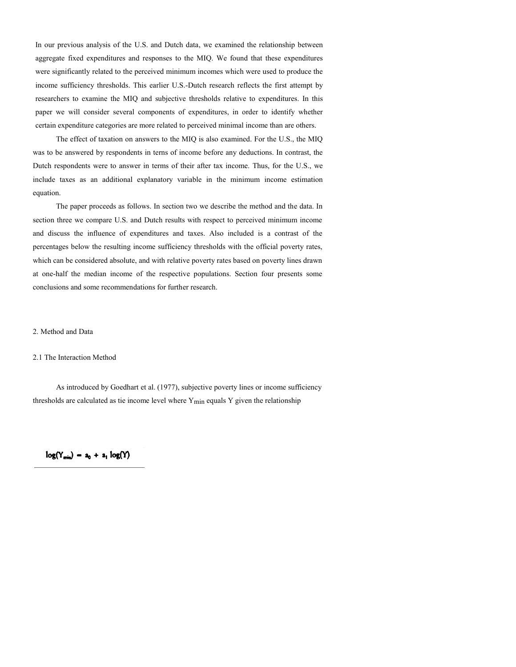In our previous analysis of the U.S. and Dutch data, we examined the relationship between aggregate fixed expenditures and responses to the MIQ. We found that these expenditures were significantly related to the perceived minimum incomes which were used to produce the income sufficiency thresholds. This earlier U.S.-Dutch research reflects the first attempt by researchers to examine the MIQ and subjective thresholds relative to expenditures. In this paper we will consider several components of expenditures, in order to identify whether certain expenditure categories are more related to perceived minimal income than are others.

The effect of taxation on answers to the MIQ is also examined. For the U.S., the MIQ was to be answered by respondents in terns of income before any deductions. In contrast, the Dutch respondents were to answer in terms of their after tax income. Thus, for the U.S., we include taxes as an additional explanatory variable in the minimum income estimation equation.

The paper proceeds as follows. In section two we describe the method and the data. In section three we compare U.S. and Dutch results with respect to perceived minimum income and discuss the influence of expenditures and taxes. Also included is a contrast of the percentages below the resulting income sufficiency thresholds with the official poverty rates, which can be considered absolute, and with relative poverty rates based on poverty lines drawn at one-half the median income of the respective populations. Section four presents some conclusions and some recommendations for further research.

### 2. Method and Data

#### 2.1 The Interaction Method

As introduced by Goedhart et al. (1977), subjective poverty lines or income sufficiency thresholds are calculated as tie income level where  $Y_{\text{min}}$  equals  $Y$  given the relationship

 $log(Y_{min}) = a_0 + a_1 log(Y)$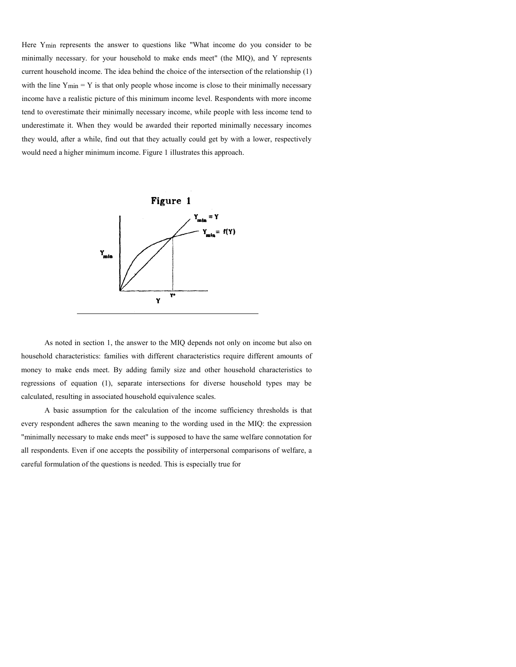Here Ymin represents the answer to questions like "What income do you consider to be minimally necessary. for your household to make ends meet" (the MIQ), and Y represents current household income. The idea behind the choice of the intersection of the relationship (1) with the line  $Y_{\text{min}} = Y$  is that only people whose income is close to their minimally necessary income have a realistic picture of this minimum income level. Respondents with more income tend to overestimate their minimally necessary income, while people with less income tend to underestimate it. When they would be awarded their reported minimally necessary incomes they would, after a while, find out that they actually could get by with a lower, respectively would need a higher minimum income. Figure 1 illustrates this approach.



As noted in section 1, the answer to the MIQ depends not only on income but also on household characteristics: families with different characteristics require different amounts of money to make ends meet. By adding family size and other household characteristics to regressions of equation (1), separate intersections for diverse household types may be calculated, resulting in associated household equivalence scales.

A basic assumption for the calculation of the income sufficiency thresholds is that every respondent adheres the sawn meaning to the wording used in the MIQ: the expression "minimally necessary to make ends meet" is supposed to have the same welfare connotation for all respondents. Even if one accepts the possibility of interpersonal comparisons of welfare, a careful formulation of the questions is needed. This is especially true for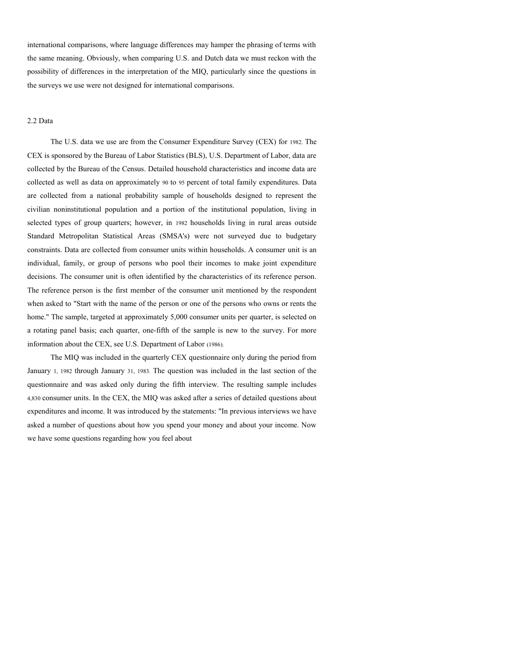international comparisons, where language differences may hamper the phrasing of terms with the same meaning. Obviously, when comparing U.S. and Dutch data we must reckon with the possibility of differences in the interpretation of the MIQ, particularly since the questions in the surveys we use were not designed for international comparisons.

### 2.2 Data

The U.S. data we use are from the Consumer Expenditure Survey (CEX) for 1982. The CEX is sponsored by the Bureau of Labor Statistics (BLS), U.S. Department of Labor, data are collected by the Bureau of the Census. Detailed household characteristics and income data are collected as well as data on approximately 90 to 95 percent of total family expenditures. Data are collected from a national probability sample of households designed to represent the civilian noninstitutional population and a portion of the institutional population, living in selected types of group quarters; however, in 1982 households living in rural areas outside Standard Metropolitan Statistical Areas (SMSA's) were not surveyed due to budgetary constraints. Data are collected from consumer units within households. A consumer unit is an individual, family, or group of persons who pool their incomes to make joint expenditure decisions. The consumer unit is often identified by the characteristics of its reference person. The reference person is the first member of the consumer unit mentioned by the respondent when asked to "Start with the name of the person or one of the persons who owns or rents the home." The sample, targeted at approximately 5,000 consumer units per quarter, is selected on a rotating panel basis; each quarter, one-fifth of the sample is new to the survey. For more information about the CEX, see U.S. Department of Labor (1986).

The MIQ was included in the quarterly CEX questionnaire only during the period from January 1, 1982 through January 31, 1983. The question was included in the last section of the questionnaire and was asked only during the fifth interview. The resulting sample includes 4,830 consumer units. In the CEX, the MIQ was asked after a series of detailed questions about expenditures and income. It was introduced by the statements: "In previous interviews we have asked a number of questions about how you spend your money and about your income. Now we have some questions regarding how you feel about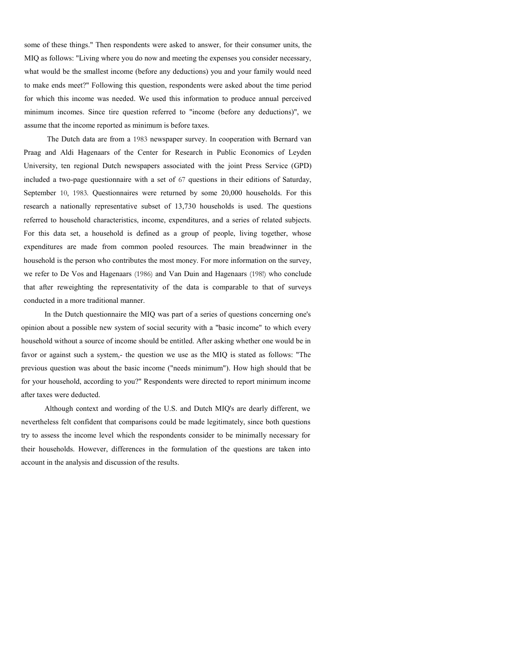some of these things." Then respondents were asked to answer, for their consumer units, the MIQ as follows: "Living where you do now and meeting the expenses you consider necessary, what would be the smallest income (before any deductions) you and your family would need to make ends meet?" Following this question, respondents were asked about the time period for which this income was needed. We used this information to produce annual perceived minimum incomes. Since tire question referred to "income (before any deductions)", we assume that the income reported as minimum is before taxes.

The Dutch data are from a 1983 newspaper survey. In cooperation with Bernard van Praag and Aldi Hagenaars of the Center for Research in Public Economics of Leyden University, ten regional Dutch newspapers associated with the joint Press Service (GPD) included a two-page questionnaire with a set of 67 questions in their editions of Saturday, September 10, 1983. Questionnaires were returned by some 20,000 households. For this research a nationally representative subset of 13,730 households is used. The questions referred to household characteristics, income, expenditures, and a series of related subjects. For this data set, a household is defined as a group of people, living together, whose expenditures are made from common pooled resources. The main breadwinner in the household is the person who contributes the most money. For more information on the survey, we refer to De Vos and Hagenaars (1986) and Van Duin and Hagenaars (198!) who conclude that after reweighting the representativity of the data is comparable to that of surveys conducted in a more traditional manner.

In the Dutch questionnaire the MIQ was part of a series of questions concerning one's opinion about a possible new system of social security with a "basic income" to which every household without a source of income should be entitled. After asking whether one would be in favor or against such a system,- the question we use as the MIQ is stated as follows: "The previous question was about the basic income ("needs minimum"). How high should that be for your household, according to you?" Respondents were directed to report minimum income after taxes were deducted.

Although context and wording of the U.S. and Dutch MIQ's are dearly different, we nevertheless felt confident that comparisons could be made legitimately, since both questions try to assess the income level which the respondents consider to be minimally necessary for their households. However, differences in the formulation of the questions are taken into account in the analysis and discussion of the results.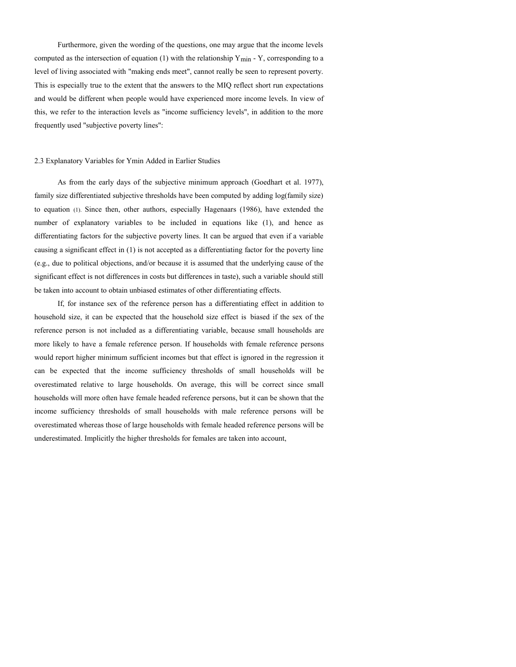Furthermore, given the wording of the questions, one may argue that the income levels computed as the intersection of equation (1) with the relationship  $Y_{\text{min}}$  - Y, corresponding to a level of living associated with "making ends meet", cannot really be seen to represent poverty. This is especially true to the extent that the answers to the MIQ reflect short run expectations and would be different when people would have experienced more income levels. In view of this, we refer to the interaction levels as "income sufficiency levels", in addition to the more frequently used "subjective poverty lines":

### 2.3 Explanatory Variables for Ymin Added in Earlier Studies

As from the early days of the subjective minimum approach (Goedhart et al. 1977), family size differentiated subjective thresholds have been computed by adding log(family size) to equation (1). Since then, other authors, especially Hagenaars (1986), have extended the number of explanatory variables to be included in equations like (1), and hence as differentiating factors for the subjective poverty lines. It can be argued that even if a variable causing a significant effect in (1) is not accepted as a differentiating factor for the poverty line (e.g., due to political objections, and/or because it is assumed that the underlying cause of the significant effect is not differences in costs but differences in taste), such a variable should still be taken into account to obtain unbiased estimates of other differentiating effects.

If, for instance sex of the reference person has a differentiating effect in addition to household size, it can be expected that the household size effect is biased if the sex of the reference person is not included as a differentiating variable, because small households are more likely to have a female reference person. If households with female reference persons would report higher minimum sufficient incomes but that effect is ignored in the regression it can be expected that the income sufficiency thresholds of small households will be overestimated relative to large households. On average, this will be correct since small households will more often have female headed reference persons, but it can be shown that the income sufficiency thresholds of small households with male reference persons will be overestimated whereas those of large households with female headed reference persons will be underestimated. Implicitly the higher thresholds for females are taken into account,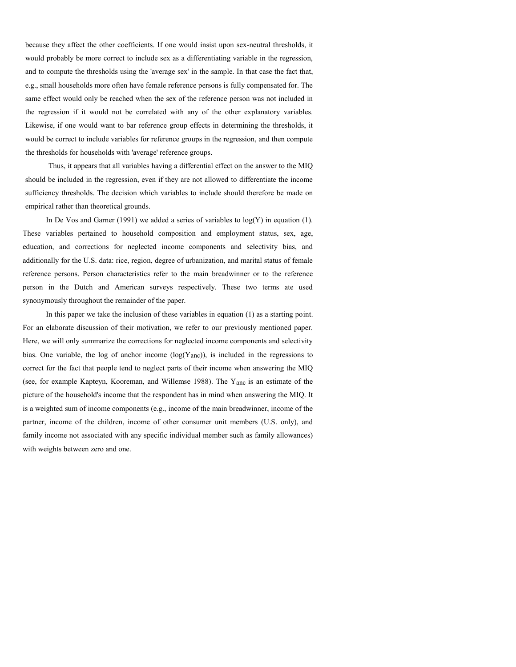because they affect the other coefficients. If one would insist upon sex-neutral thresholds, it would probably be more correct to include sex as a differentiating variable in the regression, and to compute the thresholds using the 'average sex' in the sample. In that case the fact that, e.g., small households more often have female reference persons is fully compensated for. The same effect would only be reached when the sex of the reference person was not included in the regression if it would not be correlated with any of the other explanatory variables. Likewise, if one would want to bar reference group effects in determining the thresholds, it would be correct to include variables for reference groups in the regression, and then compute the thresholds for households with 'average' reference groups.

Thus, it appears that all variables having a differential effect on the answer to the MIQ should be included in the regression, even if they are not allowed to differentiate the income sufficiency thresholds. The decision which variables to include should therefore be made on empirical rather than theoretical grounds.

In De Vos and Garner (1991) we added a series of variables to  $log(Y)$  in equation (1). These variables pertained to household composition and employment status, sex, age, education, and corrections for neglected income components and selectivity bias, and additionally for the U.S. data: rice, region, degree of urbanization, and marital status of female reference persons. Person characteristics refer to the main breadwinner or to the reference person in the Dutch and American surveys respectively. These two terms ate used synonymously throughout the remainder of the paper.

In this paper we take the inclusion of these variables in equation (1) as a starting point. For an elaborate discussion of their motivation, we refer to our previously mentioned paper. Here, we will only summarize the corrections for neglected income components and selectivity bias. One variable, the log of anchor income  $(log(Y_{anc}))$ , is included in the regressions to correct for the fact that people tend to neglect parts of their income when answering the MIQ (see, for example Kapteyn, Kooreman, and Willemse 1988). The Yanc is an estimate of the picture of the household's income that the respondent has in mind when answering the MIQ. It is a weighted sum of income components (e.g., income of the main breadwinner, income of the partner, income of the children, income of other consumer unit members (U.S. only), and family income not associated with any specific individual member such as family allowances) with weights between zero and one.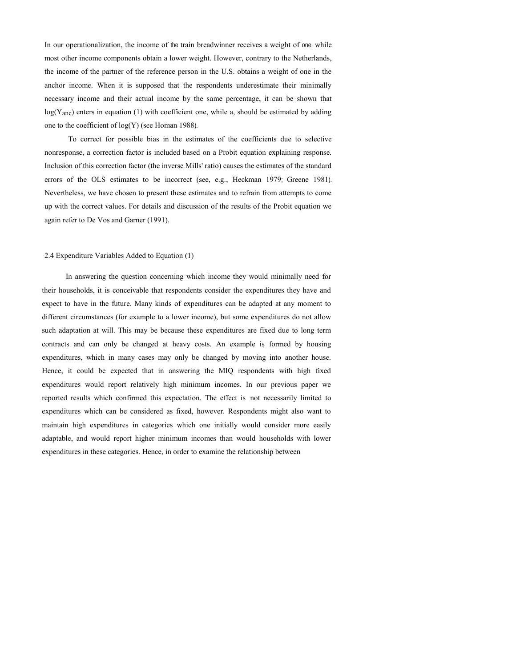In our operationalization, the income of the train breadwinner receives a weight of one, while most other income components obtain a lower weight. However, contrary to the Netherlands, the income of the partner of the reference person in the U.S. obtains a weight of one in the anchor income. When it is supposed that the respondents underestimate their minimally necessary income and their actual income by the same percentage, it can be shown that log(Yanc) enters in equation (1) with coefficient one, while a, should be estimated by adding one to the coefficient of log(Y) (see Homan 1988).

To correct for possible bias in the estimates of the coefficients due to selective nonresponse, a correction factor is included based on a Probit equation explaining response. Inclusion of this correction factor (the inverse Mills' ratio) causes the estimates of the standard errors of the OLS estimates to be incorrect (see, e.g., Heckman 1979; Greene 1981). Nevertheless, we have chosen to present these estimates and to refrain from attempts to come up with the correct values. For details and discussion of the results of the Probit equation we again refer to De Vos and Garner (1991).

#### 2.4 Expenditure Variables Added to Equation (1)

In answering the question concerning which income they would minimally need for their households, it is conceivable that respondents consider the expenditures they have and expect to have in the future. Many kinds of expenditures can be adapted at any moment to different circumstances (for example to a lower income), but some expenditures do not allow such adaptation at will. This may be because these expenditures are fixed due to long term contracts and can only be changed at heavy costs. An example is formed by housing expenditures, which in many cases may only be changed by moving into another house. Hence, it could be expected that in answering the MIQ respondents with high fixed expenditures would report relatively high minimum incomes. In our previous paper we reported results which confirmed this expectation. The effect is not necessarily limited to expenditures which can be considered as fixed, however. Respondents might also want to maintain high expenditures in categories which one initially would consider more easily adaptable, and would report higher minimum incomes than would households with lower expenditures in these categories. Hence, in order to examine the relationship between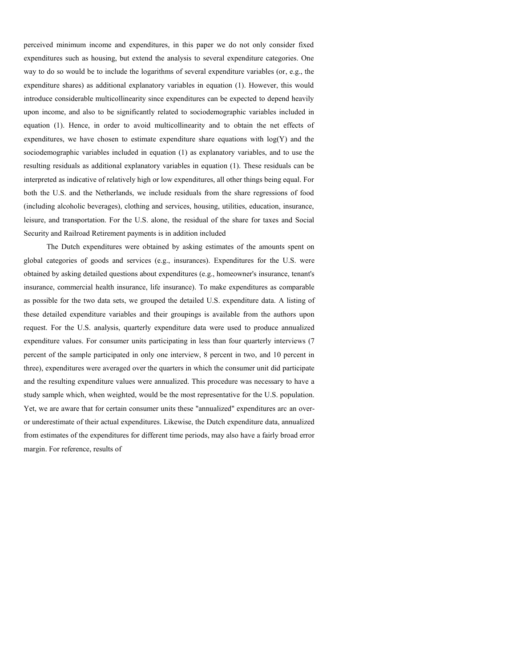perceived minimum income and expenditures, in this paper we do not only consider fixed expenditures such as housing, but extend the analysis to several expenditure categories. One way to do so would be to include the logarithms of several expenditure variables (or, e.g., the expenditure shares) as additional explanatory variables in equation (1). However, this would introduce considerable multicollinearity since expenditures can be expected to depend heavily upon income, and also to be significantly related to sociodemographic variables included in equation (1). Hence, in order to avoid multicollinearity and to obtain the net effects of expenditures, we have chosen to estimate expenditure share equations with log(Y) and the sociodemographic variables included in equation (1) as explanatory variables, and to use the resulting residuals as additional explanatory variables in equation (1). These residuals can be interpreted as indicative of relatively high or low expenditures, all other things being equal. For both the U.S. and the Netherlands, we include residuals from the share regressions of food (including alcoholic beverages), clothing and services, housing, utilities, education, insurance, leisure, and transportation. For the U.S. alone, the residual of the share for taxes and Social Security and Railroad Retirement payments is in addition included

The Dutch expenditures were obtained by asking estimates of the amounts spent on global categories of goods and services (e.g., insurances). Expenditures for the U.S. were obtained by asking detailed questions about expenditures (e.g., homeowner's insurance, tenant's insurance, commercial health insurance, life insurance). To make expenditures as comparable as possible for the two data sets, we grouped the detailed U.S. expenditure data. A listing of these detailed expenditure variables and their groupings is available from the authors upon request. For the U.S. analysis, quarterly expenditure data were used to produce annualized expenditure values. For consumer units participating in less than four quarterly interviews (7 percent of the sample participated in only one interview, 8 percent in two, and 10 percent in three), expenditures were averaged over the quarters in which the consumer unit did participate and the resulting expenditure values were annualized. This procedure was necessary to have a study sample which, when weighted, would be the most representative for the U.S. population. Yet, we are aware that for certain consumer units these "annualized" expenditures arc an overor underestimate of their actual expenditures. Likewise, the Dutch expenditure data, annualized from estimates of the expenditures for different time periods, may also have a fairly broad error margin. For reference, results of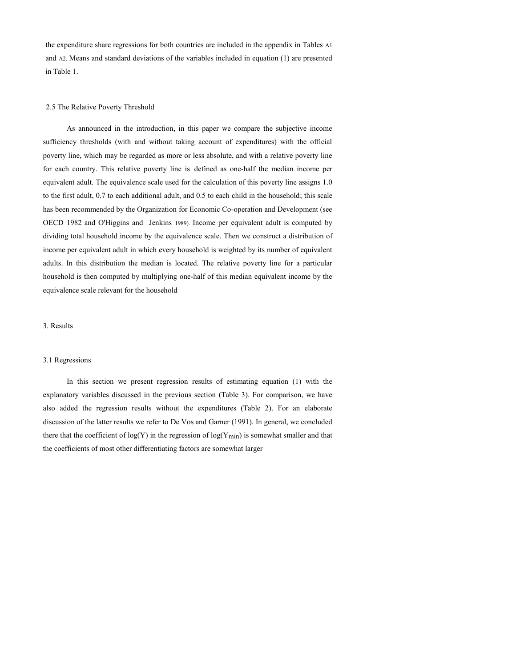the expenditure share regressions for both countries are included in the appendix in Tables A1 and A2. Means and standard deviations of the variables included in equation (1) are presented in Table 1.

### 2.5 The Relative Poverty Threshold

As announced in the introduction, in this paper we compare the subjective income sufficiency thresholds (with and without taking account of expenditures) with the official poverty line, which may be regarded as more or less absolute, and with a relative poverty line for each country. This relative poverty line is defined as one-half the median income per equivalent adult. The equivalence scale used for the calculation of this poverty line assigns 1.0 to the first adult, 0.7 to each additional adult, and 0.5 to each child in the household; this scale has been recommended by the Organization for Economic Co-operation and Development (see OECD 1982 and O'Higgins and Jenkins 1989). Income per equivalent adult is computed by dividing total household income by the equivalence scale. Then we construct a distribution of income per equivalent adult in which every household is weighted by its number of equivalent adults. In this distribution the median is located. The relative poverty line for a particular household is then computed by multiplying one-half of this median equivalent income by the equivalence scale relevant for the household

#### 3. Results

### 3.1 Regressions

In this section we present regression results of estimating equation (1) with the explanatory variables discussed in the previous section (Table 3). For comparison, we have also added the regression results without the expenditures (Table 2). For an elaborate discussion of the latter results we refer to De Vos and Garner (1991). In general, we concluded there that the coefficient of  $log(Y)$  in the regression of  $log(Y_{min})$  is somewhat smaller and that the coefficients of most other differentiating factors are somewhat larger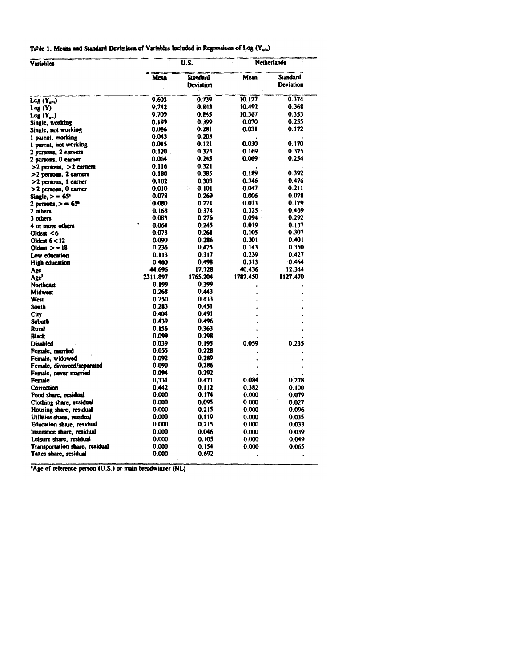# Teble 1. Messus and Standard Devinitions of Variables Included in Regressions of Log (Y<sub>aia</sub>)

| Veriables                             |          | <b>U.S.</b>           | <b>Netherlands</b> |                              |  |
|---------------------------------------|----------|-----------------------|--------------------|------------------------------|--|
|                                       | Mean     | Standard<br>Deviation | Mean               | <b>Standard</b><br>Deviation |  |
| $\text{Lg}(\text{Y}_{\text{e}})$      | 9.603    | 0.739                 | 10.127             | 0.374                        |  |
| Loz (Y)                               | 9.742    | 0.843                 | 10.492             | 0.368                        |  |
| Log $(Y_{i=})$                        | 9.709    | 0.845                 | 10.367             | 0.353                        |  |
| Single, working                       | 0.IS9    | 0.399                 | 0.070              | 0.255                        |  |
| Single, not working                   | 0.086    | 0.281                 | 0.031              | 0.172                        |  |
| 1 parent, working                     | 0.043    | 0.203                 |                    |                              |  |
| I parent, not working                 | 0.015    | 0.121                 | 0.030              | 0.170                        |  |
| 2 persons, 2 carners                  | 0.120    | 0.325                 | 0.169              | 0.375                        |  |
| 2 persons, 0 carner                   | 0.064    | 0.245                 | 0.069              | 0.254                        |  |
| $>2$ persons, $>2$ earners            | 0.116    | 0.321                 |                    |                              |  |
| >2 persons, 2 carners                 | 0.180    | 0.385                 | 0.189              | 0.392                        |  |
| $>2$ persons. I earner                | 0.102    | 0.303                 | 0.346              | 0.476                        |  |
| $>2$ persons, $0$ earner              | 0.010    | 0.101                 | 0.047              | 0.211                        |  |
| Single, $>$ = 65 <sup>o</sup>         | 0.078    | 0.269                 | 0.006              | 0.078                        |  |
| $2$ persons, $>$ = 65 <sup>o</sup>    | 0.080    | 0.271                 | 0.033              | 0.179                        |  |
| 2 others                              | 0.168    | 0.374                 | 0.325              | 0.469                        |  |
| 3 others                              | 0.083    | 0.276                 | 0.094              | 0.292                        |  |
| 4 or more others                      | 0.064    | 0.245                 | 0.019              | 0.137                        |  |
| Oldest $< 6$                          | 0.073    | 0.261                 | 0.105              | 0.307                        |  |
| Oldest $6 < 12$                       | 0.090    | 0.286                 | 0.201              | 0.401                        |  |
| Oldest $>$ = 18                       | 0.236    | 0.425                 | 0.143              | 0.350                        |  |
| Low education                         | 0.113    | 0.317                 | 0.239              | 0.427                        |  |
| <b>High education</b>                 | 0.460    | 0.498                 | 0.313              | 0.464                        |  |
| Age                                   | 44.696   | 17.728                | 40.436             | 12.344                       |  |
| Age <sup>2</sup>                      | 2311.897 | 1765.204              | 1787.450           | 1127.470                     |  |
| <b>Northeast</b>                      | 0.199    | 0.399                 |                    |                              |  |
| <b>Midwest</b>                        | 0.268    | 0.443                 |                    |                              |  |
| West                                  | 0.250    | 0.433                 |                    |                              |  |
| South                                 | 0.283    | 0.451                 |                    |                              |  |
| City                                  | 0.404    | 0.491                 |                    |                              |  |
| <b>Suburb</b>                         | 0.439    | 0.496                 |                    |                              |  |
| Rural                                 | 0.156    | 0.363                 |                    |                              |  |
| Black                                 | 0.099    | 0.298                 |                    |                              |  |
| <b>Disabled</b>                       | 0.039    | 0.195                 | 0.059              | 0.235                        |  |
| Female, married                       | 0.055    | 0.228                 |                    |                              |  |
| Female, widowed                       | 0.092    | 0.289                 |                    |                              |  |
| Female, divorced/separated            | 0.090    | 0.286                 |                    |                              |  |
| Female, never married                 | 0.094    | 0.292                 |                    |                              |  |
| <b>Female</b>                         | 0.331    | 0.471                 | 0.084              | 0.278                        |  |
| Correction                            | 0.442    | 0.112                 | 0.382              | 0.100                        |  |
| Food share, residual                  | 0.000    | 0.174                 | 0.000              | 0.079                        |  |
| Clothing share, residual              | 0.000    | 0.095                 | 0.000              | 0.027                        |  |
| Housing share, residual               | 0.000    | 0.215                 | 0.000              | 0.096                        |  |
| Utilities share, residual             | 0.000    | 0.119                 | 0.000              | 0.035                        |  |
| <b>Education share, residual</b>      | 0.000    | 0.215                 | 0.000              | 0.033                        |  |
| Insurance share, residual             | 0.000    | 0.046                 | 0.000              | 0.039                        |  |
| Leisure share, residual               | 0.000    | 0.105                 | 0.000              | 0.049                        |  |
|                                       | 0.000    | 0.154                 | 0.000              | 0.065                        |  |
| <b>Transportation share, residual</b> |          |                       |                    |                              |  |

"Age of reference person (U.S.) or main breadwinner (NL)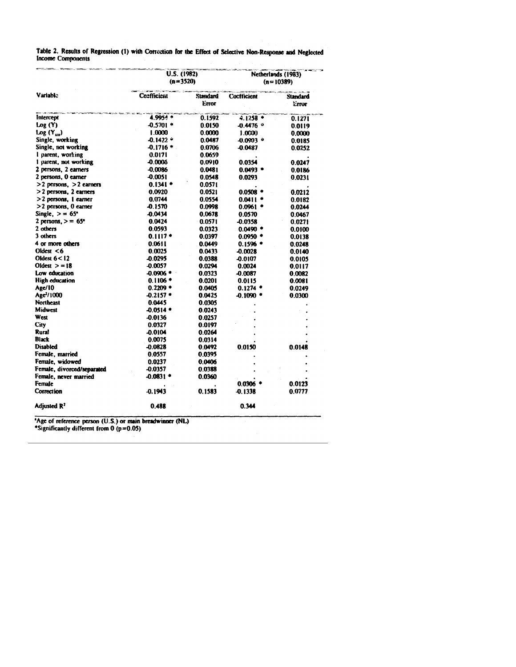Table 2. Results of Regression (1) with Correction for the Effect of Selective Non-Response and Neglected Income Components

|                                  | U.S. (1982)<br>$(n = 3520)$ |                  | Netherlands (1983)<br>$(n = 10389)$ |                  |  |
|----------------------------------|-----------------------------|------------------|-------------------------------------|------------------|--|
| Variable                         | <b>Coefficient</b>          | Standard<br>Enor | Cocfficient                         | Standard<br>Enor |  |
| Intercept                        | 4.9954 *                    | 0.1592           | 4.1258 *                            | 0.1271           |  |
| Log (Y)                          | -0.5701 *                   | 0.0150           | $-0.4476$ $\circ$                   | 0.0119           |  |
| $Log(Y_{-})$                     | 1.0000                      | 0.0000           | 1.0000                              | 0.0000           |  |
| Single, working                  | -0.1422 °                   | 0.0487           | $-0.0903$ $^{\circ}$                | 0.0185           |  |
| Single, not working              | -0.1716 *                   | 0.0706           | -0.0487                             | 0.0252           |  |
| I parent, working                | 0.0171                      | 0.0659           |                                     |                  |  |
| I parent, not working            | $-0.0006$                   | 0.0910           | 0.0354                              | 0.0247           |  |
| 2 persons, 2 earners             | -0.0086                     | 0.0481           | $0.0493$ *                          | 0.0186           |  |
| 2 persons, 0 earner              | $-0.0051$                   | 0.0548           | 0.0293                              | 0.0231           |  |
| $>2$ persons, $>2$ earners       | $0.1341$ *                  | 0.0571           |                                     |                  |  |
| $>$ 2 persons, 2 earners         | 0.0920                      | 0.0521           | 0.0508                              | 0.0212           |  |
| $>$ 2 persons, 1 earner          | 0.0744                      | 0.0554           | 0.0411 '                            | 0.0182           |  |
| $>2$ persons, 0 earner           | -0.1570                     | 0.0998           | $0.0961$ .                          | 0.0244           |  |
| Single, $>$ = 65 <sup>*</sup>    | -0.0434                     | 0.0678           | 0.0570                              | 0.0467           |  |
| 2 persons, $>$ = 65 <sup>o</sup> | 0.0424                      | 0.0571           | -0.0358                             | 0.0271           |  |
| 2 others                         | 0.0593                      | 0.0323           | $0.0490$ $*$                        | 0.0100           |  |
| 3 others                         | $0.1117$ *                  | 0.0397           | 0.0950                              | 0.0138           |  |
| 4 or more others                 | 0.0611                      | 0.0449           | 0.1596 *                            | 0.0248           |  |
| Oldest $<$ 6                     | 0.0025                      | 0.0433           | $-0.0028$                           | 0.0140           |  |
| Oldest $6 < 12$                  | -0.0295                     | 0.0388           | -0.0107                             | 0.0105           |  |
| Oldest $>$ = 18                  | -0.0057                     | 0.0294           | 0.0024                              | 0.0117           |  |
| Low education                    | -0.0906 *                   | 0.0323           | -0.0087                             | 0.0082           |  |
| High education                   | 0.1106 *                    | 0.0201           | 0.0115                              | 0.0081           |  |
| Age/10                           | $0.2209$ *                  | 0.0405           | 0.1274                              | 0.0249           |  |
| Age <sup>2</sup> /1000           | $-0.2157$ $\bullet$         | 0.0425           | -0.1090                             | 0.0300           |  |
| <b>Northeast</b>                 | 0.0445                      | 0.0305           |                                     |                  |  |
| Midwest                          | $-0.0514$ $+$               | 0.0243           |                                     |                  |  |
| West                             | -0.0136                     | 0.0257           |                                     |                  |  |
| City                             | 0.0327                      | 0.0197           |                                     |                  |  |
| Rural                            | -0.0104                     | 0.0264           |                                     |                  |  |
| <b>Black</b>                     | 0.0075                      | 0.0314           |                                     |                  |  |
| <b>Disabled</b>                  | $-0.0828$                   | 0.0492           | 0.0150                              | 0.0148           |  |
| Female, married                  | 0.0557                      | 0.0395           |                                     |                  |  |
| Female, widowed                  | 0.0237                      | 0.0406           |                                     |                  |  |
| Female, divorced/separated       | -0.0357                     | 0.0388           |                                     |                  |  |
| Female, never married            | $-0.0831$ *                 | 0.0360           |                                     |                  |  |
| Female                           |                             |                  | 0.0306                              | 0.0123           |  |
| Correction                       | $-0.1943$                   | 0.1583           | $-0.1338$                           | 0.0777           |  |
| Adjusted R <sup>2</sup>          | 0.488                       |                  | 0.344                               |                  |  |

Age of reference person (U.S.) or main breadwinner (NL)<br>
\*Significantly different from 0 (p=0.05)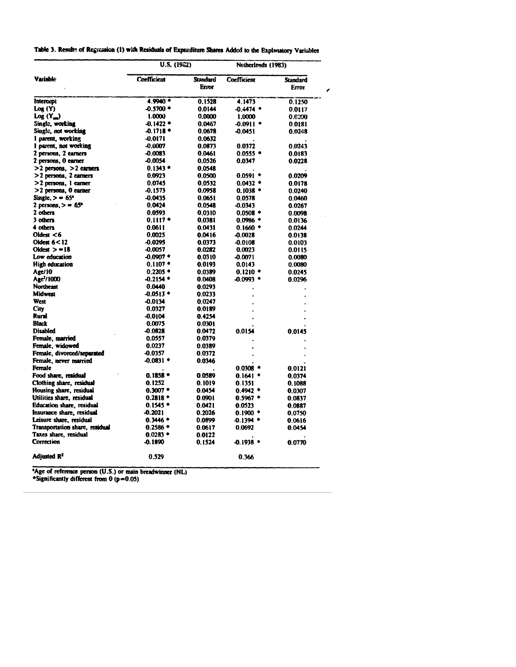Table 3. Results of Regreasion (1) with Residuals of Expenditure Shares Added to the Explanatory Variables

|                                  | U.S. (1962)        | Netherlands (1983)      |                    |                          |  |
|----------------------------------|--------------------|-------------------------|--------------------|--------------------------|--|
| Variable                         | <b>Coefficient</b> | <b>Standard</b><br>Enor | <b>Coefficient</b> | <b>Standard</b><br>Error |  |
| Intercept                        | 4.9940 *           | 0.1528                  | 4.1473             | 0.1250                   |  |
| Log (Y)                          | $-0.5700$ $+$      | 0.0144                  | -0.4474 *          | 0.0117                   |  |
| $Log(Y_$                         | 1.0000             | 0.0000                  | 1.0000             | 0.0000                   |  |
| Single, working                  | -0.1422 *          | 0.0467                  | $-0.0911$ $\cdot$  | 0.0181                   |  |
| Single, not working              | -0.1718 *          | 0.0678                  | -0.0451            | 0.0248                   |  |
| I parent, working                | -0.0171            | 0.0632                  |                    |                          |  |
| I parent, not working            | -0.0007            | 0.0873                  | 0.0372             | 0.0243                   |  |
| 2 persons, 2 earners             | $-0.0083$          | 0.0461                  | $0.0555$ $\bullet$ | 0.0183                   |  |
| 2 persons, 0 earner              | $-0.0054$          | 0.0526                  | 0.0347             | 0.0228                   |  |
| $>2$ persons, $>2$ earners       | $0.1343$ *         | 0.0548                  |                    |                          |  |
| >2 persons, 2 earners            | 0.0923             | 0.0500                  | $0.0591$ $*$       | 0.0209                   |  |
| >2 persons, 1 earner             | 0.0745             | 0.0532                  | $0.0432$ $*$       | 0.0178                   |  |
| $>2$ persons, $0$ carner         | -0.1573            | 0.0958                  | $0.1038$ *         | 0.0240                   |  |
| Single, $>$ = 65°                | -0.0435            | 0.0651                  | 0.0578             | 0.0460                   |  |
| 2 persons, $>$ = 65 <sup>o</sup> | 0.0424             | 0.0548                  | -0.0343            | 0.0267                   |  |
| 2 others                         | 0.0593             | 0.0310                  | $0.0508$ $*$       | 0.0098                   |  |
| 3 others                         | 0.1117 •           | 0.0381                  | $0.0986$ *         | 0.0136                   |  |
| 4 others                         | 0.0611             | 0.0431                  | $0.1660$ $*$       | 0.0244                   |  |
| Oldest $<$ 6                     | 0.0025             | 0.0416                  | $-0.0028$          | 0.0138                   |  |
| Oldest $6 < 12$                  | -0.0295            | 0.0373                  | -0.0108            | 0.0103                   |  |
| Oldest $>$ = 18                  | -0.0057            | 0.0282                  | 0.0023             | 0.0115                   |  |
| Low education                    | $-0.0907$ *        | 0.0310                  | -0.0071            | 0.0080                   |  |
| High education                   | $0.1107$ *         | 0.0193                  | 0.0143             | 0.0080                   |  |
| Age/10                           | $0.2205$ $*$       | 0.0389                  | $0.1210$ *         | 0.0245                   |  |
| Age <sup>2</sup> /1000           | -0.2154 *          | 0.0408                  | $-0.0993$ .        | 0.0296                   |  |
| <b>Northeast</b>                 | 0.0440             | 0.0293                  |                    |                          |  |
| Midwest                          | -0.0513 *          | 0.0233                  |                    |                          |  |
| West                             | -0.0134            | 0.0247                  |                    |                          |  |
| City                             | 0.0327             | 0.0189                  |                    |                          |  |
| Rural                            | -0.0104            | 0.4254                  |                    |                          |  |
| <b>Black</b>                     | 0.0075             | 0.0301                  |                    |                          |  |
| <b>Disabled</b>                  | -0.0828            | 0.0472                  | 0.0154             | 0.0145                   |  |
| Female, married                  | 0.0557             | 0.0379                  |                    |                          |  |
| Female, widowed                  | 0.0237             | 0.0389                  |                    |                          |  |
| Female, divorced/separated       | -0.0357            | 0.0372                  |                    |                          |  |
| Female, never married            | $-0.0831$ *        | 0.0346                  |                    |                          |  |
| Female                           |                    |                         | $0.0308$ *         | 0.0121                   |  |
| Food share, residual             | $0.1858 -$         | 0.0589                  | $0.1641$ .         | 0.0374                   |  |
| Clothing share, residual         | 0.1252             | 0. 1019                 | 0.1351             | 0.1088                   |  |
| Housing share, residual          | $0.3007$ *         | 0.0454                  | $0.4942$ *         | 0.0307                   |  |
| Utilities share, residual        | $0.2818 +$         | 0.0901                  | $0.5967$ *         | 0.0837                   |  |
| <b>Education share, residual</b> | $0.1545$ *         | 0.0421                  | 0.0523             | 0.0887                   |  |
| Insurance share, residual        | -0.2021            | 0.2026                  | $0.1900$ $*$       | 0.0750                   |  |
| Leisure share, residual          | $0.3446$ *         | 0.0899                  | $-0.1394$ .        | 0.0616                   |  |
| Transportation share, residual   | $0.2586$ *         | 0.0617                  | 0.0692             | 0.0454                   |  |
| Taxes share, residual            | $0.0283$ $*$       | 0.0122                  |                    |                          |  |
| Correction                       | -0.1890            | 0.1524                  | -0.1938 •          | 0.0770                   |  |
| Adjusted R <sup>2</sup>          | 0.529              |                         | 0.366              |                          |  |

Age of reference person (U.S.) or main breadwinner (NL)<br>\*Significantly different from  $0$  (p=0.05)

J.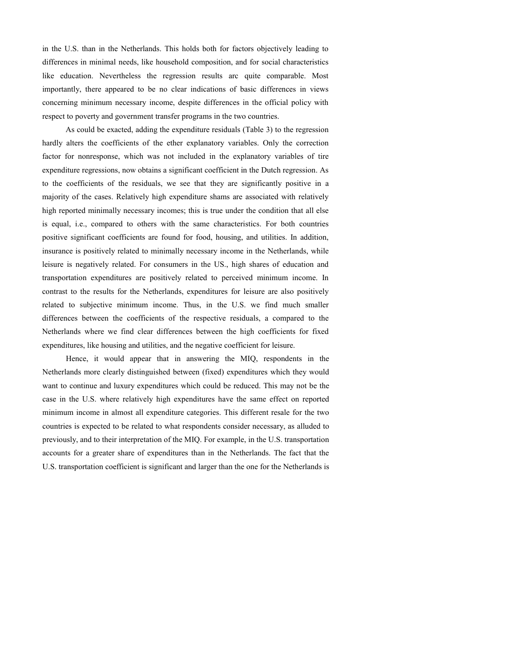in the U.S. than in the Netherlands. This holds both for factors objectively leading to differences in minimal needs, like household composition, and for social characteristics like education. Nevertheless the regression results arc quite comparable. Most importantly, there appeared to be no clear indications of basic differences in views concerning minimum necessary income, despite differences in the official policy with respect to poverty and government transfer programs in the two countries.

As could be exacted, adding the expenditure residuals (Table 3) to the regression hardly alters the coefficients of the ether explanatory variables. Only the correction factor for nonresponse, which was not included in the explanatory variables of tire expenditure regressions, now obtains a significant coefficient in the Dutch regression. As to the coefficients of the residuals, we see that they are significantly positive in a majority of the cases. Relatively high expenditure shams are associated with relatively high reported minimally necessary incomes; this is true under the condition that all else is equal, i.e., compared to others with the same characteristics. For both countries positive significant coefficients are found for food, housing, and utilities. In addition, insurance is positively related to minimally necessary income in the Netherlands, while leisure is negatively related. For consumers in the US., high shares of education and transportation expenditures are positively related to perceived minimum income. In contrast to the results for the Netherlands, expenditures for leisure are also positively related to subjective minimum income. Thus, in the U.S. we find much smaller differences between the coefficients of the respective residuals, a compared to the Netherlands where we find clear differences between the high coefficients for fixed expenditures, like housing and utilities, and the negative coefficient for leisure.

Hence, it would appear that in answering the MIQ, respondents in the Netherlands more clearly distinguished between (fixed) expenditures which they would want to continue and luxury expenditures which could be reduced. This may not be the case in the U.S. where relatively high expenditures have the same effect on reported minimum income in almost all expenditure categories. This different resale for the two countries is expected to be related to what respondents consider necessary, as alluded to previously, and to their interpretation of the MIQ. For example, in the U.S. transportation accounts for a greater share of expenditures than in the Netherlands. The fact that the U.S. transportation coefficient is significant and larger than the one for the Netherlands is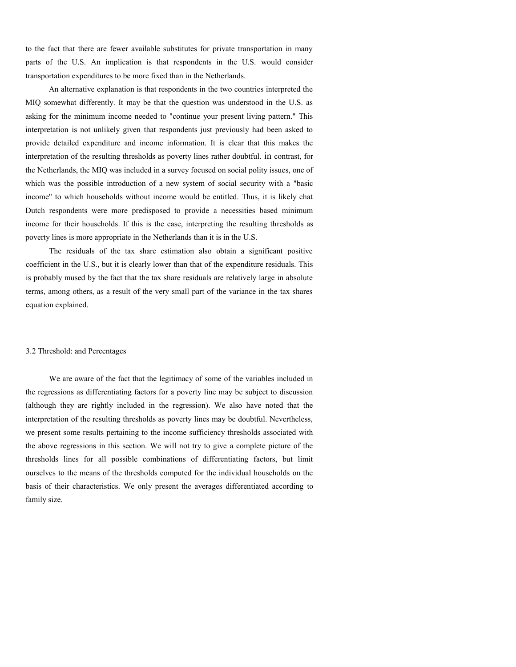to the fact that there are fewer available substitutes for private transportation in many parts of the U.S. An implication is that respondents in the U.S. would consider transportation expenditures to be more fixed than in the Netherlands.

An alternative explanation is that respondents in the two countries interpreted the MIQ somewhat differently. It may be that the question was understood in the U.S. as asking for the minimum income needed to "continue your present living pattern." This interpretation is not unlikely given that respondents just previously had been asked to provide detailed expenditure and income information. It is clear that this makes the interpretation of the resulting thresholds as poverty lines rather doubtful. in contrast, for the Netherlands, the MIQ was included in a survey focused on social polity issues, one of which was the possible introduction of a new system of social security with a "basic income" to which households without income would be entitled. Thus, it is likely chat Dutch respondents were more predisposed to provide a necessities based minimum income for their households. If this is the case, interpreting the resulting thresholds as poverty lines is more appropriate in the Netherlands than it is in the U.S.

The residuals of the tax share estimation also obtain a significant positive coefficient in the U.S., but it is clearly lower than that of the expenditure residuals. This is probably mused by the fact that the tax share residuals are relatively large in absolute terms, among others, as a result of the very small part of the variance in the tax shares equation explained.

### 3.2 Threshold: and Percentages

We are aware of the fact that the legitimacy of some of the variables included in the regressions as differentiating factors for a poverty line may be subject to discussion (although they are rightly included in the regression). We also have noted that the interpretation of the resulting thresholds as poverty lines may be doubtful. Nevertheless, we present some results pertaining to the income sufficiency thresholds associated with the above regressions in this section. We will not try to give a complete picture of the thresholds lines for all possible combinations of differentiating factors, but limit ourselves to the means of the thresholds computed for the individual households on the basis of their characteristics. We only present the averages differentiated according to family size.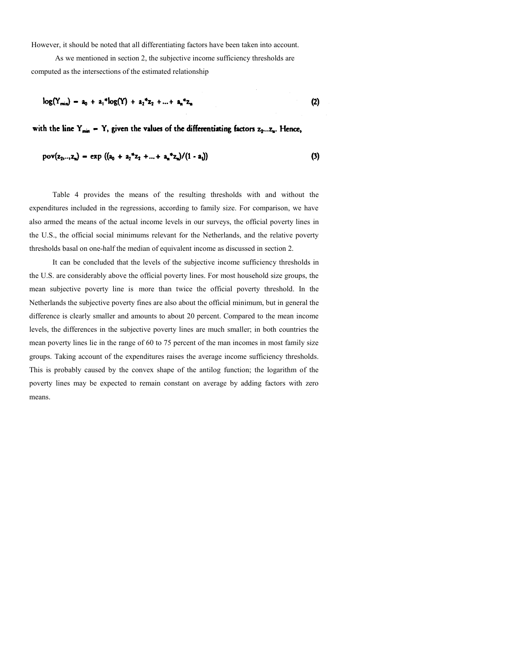However, it should be noted that all differentiating factors have been taken into account.

As we mentioned in section 2, the subjective income sufficiency thresholds are computed as the intersections of the estimated relationship

$$
\log(Y_{\min}) = a_0 + a_1^* \log(Y) + a_2^* z_2 + ... + a_n^* z_n \tag{2}
$$

with the line  $Y_{min} - Y$ , given the values of the differentiating factors  $z_1...z_n$ . Hence,

$$
pov(z_1,...,z_n) = exp ((a_0 + a_1 * z_1 + ... + a_n * z_n)/(1 - a_i))
$$
\n(3)

Table 4 provides the means of the resulting thresholds with and without the expenditures included in the regressions, according to family size. For comparison, we have also armed the means of the actual income levels in our surveys, the official poverty lines in the U.S., the official social minimums relevant for the Netherlands, and the relative poverty thresholds basal on one-half the median of equivalent income as discussed in section 2.

It can be concluded that the levels of the subjective income sufficiency thresholds in the U.S. are considerably above the official poverty lines. For most household size groups, the mean subjective poverty line is more than twice the official poverty threshold. In the Netherlands the subjective poverty fines are also about the official minimum, but in general the difference is clearly smaller and amounts to about 20 percent. Compared to the mean income levels, the differences in the subjective poverty lines are much smaller; in both countries the mean poverty lines lie in the range of 60 to 75 percent of the man incomes in most family size groups. Taking account of the expenditures raises the average income sufficiency thresholds. This is probably caused by the convex shape of the antilog function; the logarithm of the poverty lines may be expected to remain constant on average by adding factors with zero means.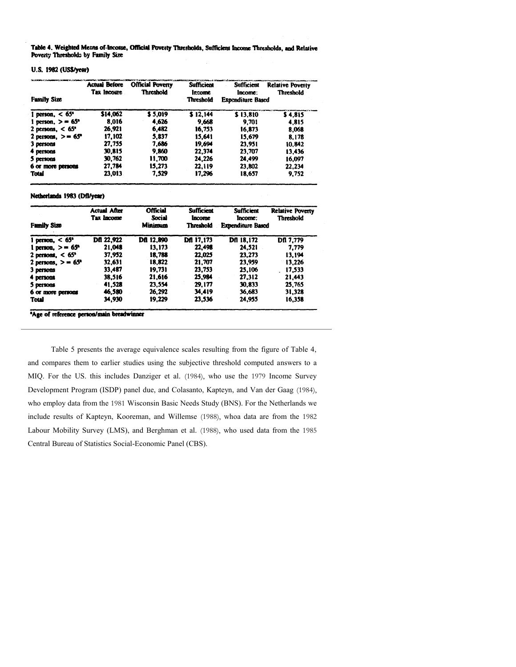Table 4. Weighted Means of Income, Official Poverty Thresholds, Sufficient Income Thresholds, and Relative Poverty Thresholds by Family Size

U.S. 1982 (US\$/year)

| <b>Family Size</b>              | <b>Actual Before</b><br><b>Tax Income</b> | <b>Official Poverty</b><br><b>Threshold</b> | <b>Sufficient</b><br>Incomé<br><b>Threshold</b> | <b>Sufficient</b><br>Income:<br><b>Expenditure Based</b> | <b>Relative Poverty</b><br><b>Threshold</b> |
|---------------------------------|-------------------------------------------|---------------------------------------------|-------------------------------------------------|----------------------------------------------------------|---------------------------------------------|
| $1$ person, $< 65^\circ$        | \$14,062                                  | <b>\$5,019</b>                              | \$12,144                                        | \$13,810                                                 | \$4.815                                     |
| 1 person, $>$ = 65 <sup>o</sup> | 8.016                                     | 4.626                                       | 9.668                                           | 9.701                                                    | 4.815                                       |
| $2$ persons, $< 65^\circ$       | 26.921                                    | 6.482                                       | 16.753                                          | 16.873                                                   | 8.068                                       |
| 2 persons, $> = 65^{\circ}$     | 17.102                                    | 5.837                                       | 15.641                                          | 15.679                                                   | 8.178                                       |
| 3 persons                       | 27.755                                    | 7.686                                       | 19,694                                          | 23,951                                                   | 10.842                                      |
| 4 persons                       | 30,815                                    | 9,860                                       | 22.374                                          | 23,707                                                   | 13.436                                      |
| 5 persons                       | 30.762                                    | 11.700                                      | 24.226                                          | 24.499                                                   | 16.097                                      |
| 6 or more persons               | 27.784                                    | 15.273                                      | 22,119                                          | 23.802                                                   | 22.234                                      |
| <b>Total</b>                    | 23,013                                    | 7.529                                       | 17,296                                          | 18,657                                                   | 9.752                                       |

#### Netherlands 1983 (Dfl/year)

| <b>Family Size</b>                | <b>Actual After</b><br><b>Tax Income</b> | <b>Official</b><br><b>Social</b><br>Minimum | <b>Sufficient</b><br><i><u>Income</u></i><br><b>Threshold</b> | <b>Sufficient</b><br>Income:<br><b>Expenditure Based</b> | <b>Relative Poverty</b><br><b>Threshold</b> |
|-----------------------------------|------------------------------------------|---------------------------------------------|---------------------------------------------------------------|----------------------------------------------------------|---------------------------------------------|
| $1$ person, $< 65^{\circ}$        | DA 22.922                                | Dfl 12.890                                  | Dfl 17,173                                                    | Dfl 18.172                                               | Dfl 7,779                                   |
| $l$ person, $>$ = 65 <sup>o</sup> | 21,048                                   | 13.173                                      | 22,498                                                        | 24.521                                                   | 7.779                                       |
| $2$ persons, $< 65^\circ$         | 37,952                                   | 18,788                                      | 22.025                                                        | 23,273                                                   | 13.194                                      |
| 2 persons, $>$ = 65 <sup>o</sup>  | 32.631                                   | 18,822                                      | 21.707                                                        | 23,959                                                   | 13.226                                      |
| 3 persons                         | 33,487                                   | 19.731                                      | 23,753                                                        | 25.106                                                   | 17.533                                      |
| 4 persons                         | 38.516                                   | 21,616                                      | 25.984                                                        | 27.312                                                   | 21.443                                      |
| 5 persons                         | 41.528                                   | 23,554                                      | 29.177                                                        | 30,833                                                   | 25,765                                      |
| 6 or more persons                 | 46,580                                   | 26.292                                      | 34.419                                                        | 36.683                                                   | 31.328                                      |
| <b>Total</b>                      | 34,930                                   | 19.229                                      | 23.536                                                        | 24,955                                                   | 16,358                                      |

"Age of reference person/main breadwinner

Table 5 presents the average equivalence scales resulting from the figure of Table 4, and compares them to earlier studies using the subjective threshold computed answers to a MIQ. For the US. this includes Danziger et al. (1984), who use the 1979 Income Survey Development Program (ISDP) panel due, and Colasanto, Kapteyn, and Van der Gaag (1984), who employ data from the 1981 Wisconsin Basic Needs Study (BNS). For the Netherlands we include results of Kapteyn, Kooreman, and Willemse (1988), whoa data are from the 1982 Labour Mobility Survey (LMS), and Berghman et al. (1988), who used data from the 1985 Central Bureau of Statistics Social-Economic Panel (CBS).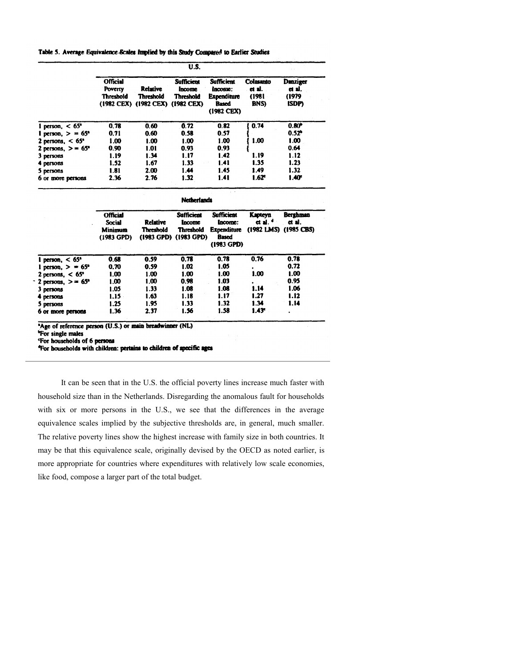Table 5. Average Equivalence Scales Implied by this Study Compared to Earlier Studies

|                                  | <b>Official</b><br>Poverty<br><b>Threshold</b> | <b>Relative</b><br><b>Threshold</b><br>(1982 CEX) (1982 CEX) (1982 CEX) | <b>Sufficient</b><br><i>income</i><br><b>Threshold</b> | <b>Sufficient</b><br>income:<br><b>Expenditure</b><br>Based<br>(1982 CEX) | Colasanto<br>et al.<br>(1981)<br><b>BNS</b> | <b>Danziger</b><br>ct al.<br>(1979<br><b>ISDP)</b> |
|----------------------------------|------------------------------------------------|-------------------------------------------------------------------------|--------------------------------------------------------|---------------------------------------------------------------------------|---------------------------------------------|----------------------------------------------------|
| 1 person, $< 65^\circ$           | 0,78                                           | 0.60                                                                    | 0.72                                                   | 0.82                                                                      | ( 0.74                                      | $0.80^*$                                           |
| 1 person, $>$ = 65 <sup>o</sup>  | 0.71                                           | 0.60                                                                    | 0.58                                                   | 0.57                                                                      |                                             | $0.52^{\circ}$                                     |
| $2$ persons, $< 65^\circ$        | 1.00                                           | 1.00                                                                    | 1.00                                                   | 1.00                                                                      | 1.00                                        | 1.00                                               |
| 2 persons, $>$ = 65 <sup>o</sup> | 0.90                                           | 1.01                                                                    | 0.93                                                   | 0.93                                                                      |                                             | 0.64                                               |
| 3 persons                        | 1.19                                           | 1.34                                                                    | 1.17                                                   | 1.42                                                                      | 1.19                                        | 1.12                                               |
| 4 persons                        | 1.52                                           | 1.67                                                                    | 1.33                                                   | 1.41                                                                      | 1.35                                        | 1.23                                               |
| 5 persons                        | 1.81                                           | 2.00                                                                    | 1.44                                                   | 1.45                                                                      | 1.49                                        | 1.32                                               |
| 6 or more persons                | 2.36                                           | 2.76                                                                    | 1.32                                                   | 1.41                                                                      | $1.62^c$                                    | $1.40^{\circ}$                                     |

|                                  | <b>Netherlands</b>                                               |                                     |                                                                          |                                                                                  |                                                   |                    |  |  |
|----------------------------------|------------------------------------------------------------------|-------------------------------------|--------------------------------------------------------------------------|----------------------------------------------------------------------------------|---------------------------------------------------|--------------------|--|--|
|                                  | <b>Official</b><br><b>Social</b><br><b>Minimum</b><br>(1983 GPD) | <b>Relative</b><br><b>Threshold</b> | <b>Sufficient</b><br>Income<br><b>Threshold</b><br>(1983 GPD) (1983 GPD) | <b>Sufficient</b><br>income:<br><b>Expenditure</b><br><b>Based</b><br>(1983 GPD) | <b>Kapteyn</b><br>et al.<br>(1982 LMS) (1985 CBS) | Berghman<br>et al. |  |  |
| $1$ person. $< 65^\circ$         | 0.68                                                             | 0.59                                | 0.78                                                                     | 0.78                                                                             | 0.76                                              | 0.78               |  |  |
| 1 person, $>$ = 65 <sup>o</sup>  | 0.70                                                             | 0.59                                | 1.02                                                                     | 1.05                                                                             |                                                   | 0.72               |  |  |
| $2$ persons, $< 65^\circ$        | 1.00                                                             | 1.00                                | 1.00                                                                     | 1.00                                                                             | 1.00                                              | 1.00               |  |  |
| 2 persons, $>$ = 65 <sup>o</sup> | 1.00                                                             | 1.00                                | 0.98                                                                     | 1.03                                                                             |                                                   | 0.95               |  |  |
| 3 persons                        | 1.05                                                             | 1.33                                | 1.08                                                                     | 1.08                                                                             | 1.14                                              | 1.06               |  |  |
| 4 persons                        | 1.15                                                             | 1.63                                | 1.18                                                                     | 1.17                                                                             | 1.27                                              | 1.12               |  |  |
| 5 persons                        | 1.25                                                             | 1.95                                | 1.33                                                                     | 1.32                                                                             | 1.34                                              | 1.14               |  |  |
| 6 or more persons                | 1.36                                                             | 2.37                                | 1.56                                                                     | 1.58                                                                             | $1.43^{\circ}$                                    | ٠                  |  |  |

Age of reference person (U.S.) or main breadwinner (NL)<br>For single males

For households of 6 persons

"For households with children: pertains to children of specific ages

It can be seen that in the U.S. the official poverty lines increase much faster with household size than in the Netherlands. Disregarding the anomalous fault for households with six or more persons in the U.S., we see that the differences in the average equivalence scales implied by the subjective thresholds are, in general, much smaller. The relative poverty lines show the highest increase with family size in both countries. It may be that this equivalence scale, originally devised by the OECD as noted earlier, is more appropriate for countries where expenditures with relatively low scale economies, like food, compose a larger part of the total budget.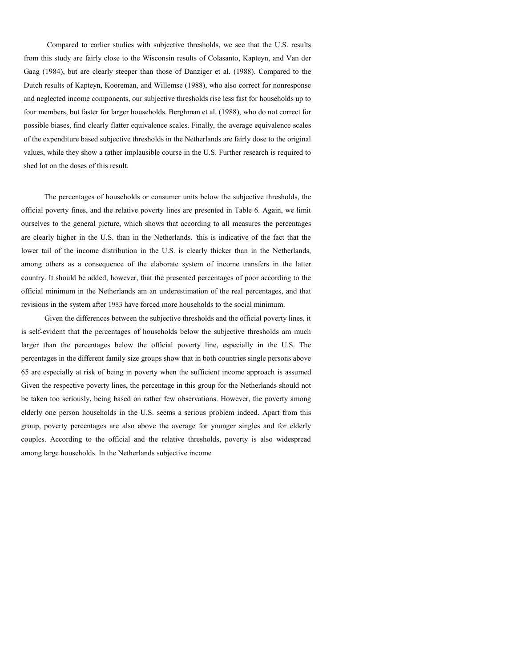Compared to earlier studies with subjective thresholds, we see that the U.S. results from this study are fairly close to the Wisconsin results of Colasanto, Kapteyn, and Van der Gaag (1984), but are clearly steeper than those of Danziger et al. (1988). Compared to the Dutch results of Kapteyn, Kooreman, and Willemse (1988), who also correct for nonresponse and neglected income components, our subjective thresholds rise less fast for households up to four members, but faster for larger households. Berghman et al. (1988), who do not correct for possible biases, find clearly flatter equivalence scales. Finally, the average equivalence scales of the expenditure based subjective thresholds in the Netherlands are fairly dose to the original values, while they show a rather implausible course in the U.S. Further research is required to shed lot on the doses of this result.

The percentages of households or consumer units below the subjective thresholds, the official poverty fines, and the relative poverty lines are presented in Table 6. Again, we limit ourselves to the general picture, which shows that according to all measures the percentages are clearly higher in the U.S. than in the Netherlands. 'this is indicative of the fact that the lower tail of the income distribution in the U.S. is clearly thicker than in the Netherlands, among others as a consequence of the elaborate system of income transfers in the latter country. It should be added, however, that the presented percentages of poor according to the official minimum in the Netherlands am an underestimation of the real percentages, and that revisions in the system after 1983 have forced more households to the social minimum.

Given the differences between the subjective thresholds and the official poverty lines, it is self-evident that the percentages of households below the subjective thresholds am much larger than the percentages below the official poverty line, especially in the U.S. The percentages in the different family size groups show that in both countries single persons above 65 are especially at risk of being in poverty when the sufficient income approach is assumed Given the respective poverty lines, the percentage in this group for the Netherlands should not be taken too seriously, being based on rather few observations. However, the poverty among elderly one person households in the U.S. seems a serious problem indeed. Apart from this group, poverty percentages are also above the average for younger singles and for elderly couples. According to the official and the relative thresholds, poverty is also widespread among large households. In the Netherlands subjective income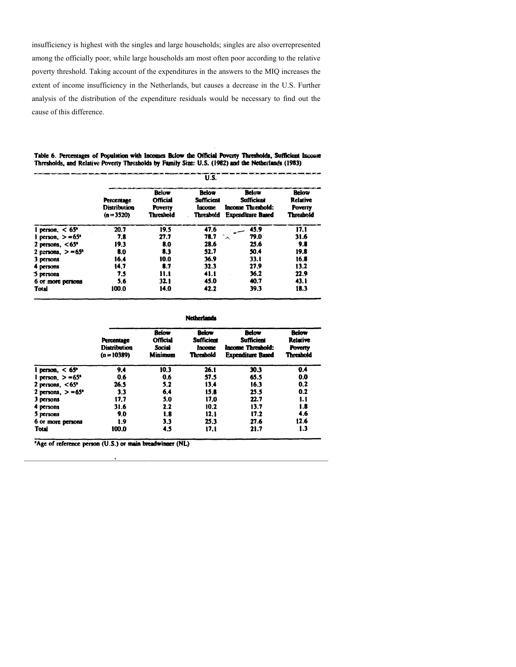insufficiency is highest with the singles and large households; singles are also overrepresented among the officially poor, while large households am most often poor according to the relative poverty threshold. Taking account of the expenditures in the answers to the MIQ increases the extent of income insufficiency in the Netherlands, but causes a decrease in the U.S. Further analysis of the distribution of the expenditure residuals would be necessary to find out the cause of this difference.

|                          | U.S.                                              |                                                                                                                                                 |      |                                                                                    |                                                                       |  |  |  |  |
|--------------------------|---------------------------------------------------|-------------------------------------------------------------------------------------------------------------------------------------------------|------|------------------------------------------------------------------------------------|-----------------------------------------------------------------------|--|--|--|--|
|                          | Percentage<br><b>Distribution</b><br>$(n = 3520)$ | <b>Below</b><br><b>Below</b><br><b>Official</b><br><b>Sufficient</b><br><b>Poverty</b><br><b>Income</b><br><b>Threshold</b><br><b>Threshold</b> |      | <b>Relow</b><br><b>Sufficient</b><br>Income Threshold:<br><b>Expenditure Based</b> | <b>Below</b><br><b>Relative</b><br><b>Poverty</b><br><b>Threabold</b> |  |  |  |  |
| 1 person, $< 65^\circ$   | 20.7                                              | 19.5                                                                                                                                            | 47.6 | 45.9                                                                               | 17.1                                                                  |  |  |  |  |
| 1 person, $> = 65$       | 7.8                                               | 27.7                                                                                                                                            | 78.7 | 79.0<br>$\mathcal{N}_{\infty}$                                                     | 31.6                                                                  |  |  |  |  |
| 2 persons, $<65^\circ$   | 19.3                                              | 8.0                                                                                                                                             | 28.6 | 25.6                                                                               | 98                                                                    |  |  |  |  |
| 2 persons, $> =65^\circ$ | 8.0                                               | 8.3                                                                                                                                             | 52.7 | 50.4                                                                               | 19.8                                                                  |  |  |  |  |
| 3 persons                | 16.4                                              | 10.0                                                                                                                                            | 36.9 | 33.1                                                                               | 16.8                                                                  |  |  |  |  |
| 4 persons                | 14.7                                              | 8.7                                                                                                                                             | 32.3 | 27.9                                                                               | 13.2                                                                  |  |  |  |  |
| 5 persons                | 7.5                                               | 11.1                                                                                                                                            | 41.1 | 36.2                                                                               | 22.9                                                                  |  |  |  |  |
| 6 or more persons        | 5.6                                               | 32.1                                                                                                                                            | 45.0 | 40.7                                                                               | 43.1                                                                  |  |  |  |  |
| <b>Total</b>             | 100.0                                             | 14.0                                                                                                                                            | 42.2 | 39.3                                                                               | 18.3                                                                  |  |  |  |  |

Table 6. Percentages of Population with Incomes Below the Official Poverty Thresholds, Sufficient Income Thresholds, and Relative Poverty Thresholds by Family Size: U.S. (1982) and the Netherlands (1983)

|                              |                                                    | <b>Netherlands</b>                                                                                                                                  |      |                                                                                    |                                                                       |  |  |  |  |  |
|------------------------------|----------------------------------------------------|-----------------------------------------------------------------------------------------------------------------------------------------------------|------|------------------------------------------------------------------------------------|-----------------------------------------------------------------------|--|--|--|--|--|
|                              | Percentage<br><b>Distribution</b><br>$(n = 10389)$ | <b>Below</b><br><b>Below</b><br><b>Official</b><br><b>Sufficient</b><br><b>Social</b><br><i><b>Income</b></i><br><b>Minimum</b><br><b>Threshold</b> |      | <b>Below</b><br><b>Sufficient</b><br>Income Threshold:<br><b>Expenditure Based</b> | <b>Below</b><br><b>Relative</b><br><b>Poverty</b><br><b>Threshold</b> |  |  |  |  |  |
| 1 person <sub>s</sub> < 65°  | 9.4                                                | 10.3                                                                                                                                                | 26.1 | 30.3                                                                               | 0.4                                                                   |  |  |  |  |  |
| 1 person, $> =65^\circ$      | 0.6                                                | 0.6                                                                                                                                                 | 57.5 | 65.5                                                                               | 0.0                                                                   |  |  |  |  |  |
| 2 persons, $<$ 65 $^{\circ}$ | 26.5                                               | 5.2                                                                                                                                                 | 13.4 | 16.3                                                                               | 0.2                                                                   |  |  |  |  |  |
| 2 persons, $> =65^\circ$     | 3.3                                                | 6.4                                                                                                                                                 | 15.8 | 25.5                                                                               | 0.2                                                                   |  |  |  |  |  |
| 3 persons                    | 17.7                                               | 5.0                                                                                                                                                 | 17.0 | 22.7                                                                               | 1.1                                                                   |  |  |  |  |  |
| 4 persons                    | 31.6                                               | 2.2                                                                                                                                                 | 10.2 | 13.7                                                                               | 1.8                                                                   |  |  |  |  |  |
| 5 persons                    | 9.0                                                | 1.8                                                                                                                                                 | 12.1 | 17.2                                                                               | 4.6                                                                   |  |  |  |  |  |
| 6 or more persons            | 1.9                                                | 3.3                                                                                                                                                 | 25.3 | 27.6                                                                               | 12.6                                                                  |  |  |  |  |  |
| <b>Total</b>                 | 100.0                                              | 4.5                                                                                                                                                 | 17.1 | 21.7                                                                               | 1.3                                                                   |  |  |  |  |  |

'Age of reference person (U.S.) or main breadwinner (NL)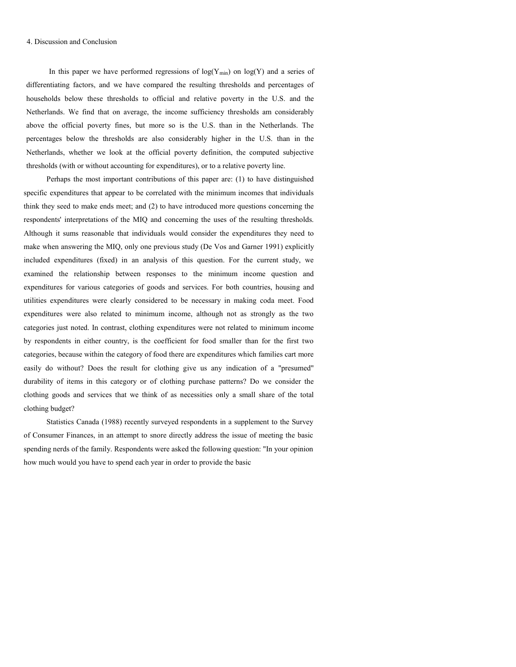In this paper we have performed regressions of  $log(Y_{min})$  on  $log(Y)$  and a series of differentiating factors, and we have compared the resulting thresholds and percentages of households below these thresholds to official and relative poverty in the U.S. and the Netherlands. We find that on average, the income sufficiency thresholds am considerably above the official poverty fines, but more so is the U.S. than in the Netherlands. The percentages below the thresholds are also considerably higher in the U.S. than in the Netherlands, whether we look at the official poverty definition, the computed subjective thresholds (with or without accounting for expenditures), or to a relative poverty line.

Perhaps the most important contributions of this paper are: (1) to have distinguished specific expenditures that appear to be correlated with the minimum incomes that individuals think they seed to make ends meet; and (2) to have introduced more questions concerning the respondents' interpretations of the MIQ and concerning the uses of the resulting thresholds. Although it sums reasonable that individuals would consider the expenditures they need to make when answering the MIQ, only one previous study (De Vos and Garner 1991) explicitly included expenditures (fixed) in an analysis of this question. For the current study, we examined the relationship between responses to the minimum income question and expenditures for various categories of goods and services. For both countries, housing and utilities expenditures were clearly considered to be necessary in making coda meet. Food expenditures were also related to minimum income, although not as strongly as the two categories just noted. In contrast, clothing expenditures were not related to minimum income by respondents in either country, is the coefficient for food smaller than for the first two categories, because within the category of food there are expenditures which families cart more easily do without? Does the result for clothing give us any indication of a "presumed" durability of items in this category or of clothing purchase patterns? Do we consider the clothing goods and services that we think of as necessities only a small share of the total clothing budget?

Statistics Canada (1988) recently surveyed respondents in a supplement to the Survey of Consumer Finances, in an attempt to snore directly address the issue of meeting the basic spending nerds of the family. Respondents were asked the following question: "In your opinion how much would you have to spend each year in order to provide the basic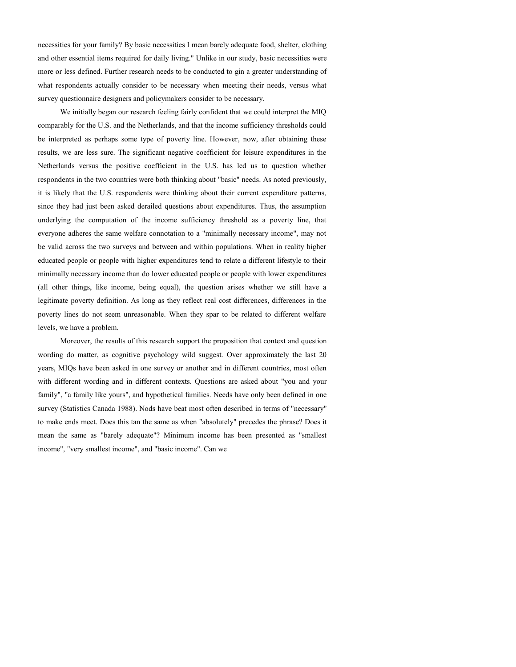necessities for your family? By basic necessities I mean barely adequate food, shelter, clothing and other essential items required for daily living." Unlike in our study, basic necessities were more or less defined. Further research needs to be conducted to gin a greater understanding of what respondents actually consider to be necessary when meeting their needs, versus what survey questionnaire designers and policymakers consider to be necessary.

We initially began our research feeling fairly confident that we could interpret the MIQ comparably for the U.S. and the Netherlands, and that the income sufficiency thresholds could be interpreted as perhaps some type of poverty line. However, now, after obtaining these results, we are less sure. The significant negative coefficient for leisure expenditures in the Netherlands versus the positive coefficient in the U.S. has led us to question whether respondents in the two countries were both thinking about "basic" needs. As noted previously, it is likely that the U.S. respondents were thinking about their current expenditure patterns, since they had just been asked derailed questions about expenditures. Thus, the assumption underlying the computation of the income sufficiency threshold as a poverty line, that everyone adheres the same welfare connotation to a "minimally necessary income", may not be valid across the two surveys and between and within populations. When in reality higher educated people or people with higher expenditures tend to relate a different lifestyle to their minimally necessary income than do lower educated people or people with lower expenditures (all other things, like income, being equal), the question arises whether we still have a legitimate poverty definition. As long as they reflect real cost differences, differences in the poverty lines do not seem unreasonable. When they spar to be related to different welfare levels, we have a problem.

Moreover, the results of this research support the proposition that context and question wording do matter, as cognitive psychology wild suggest. Over approximately the last 20 years, MIQs have been asked in one survey or another and in different countries, most often with different wording and in different contexts. Questions are asked about "you and your family", "a family like yours", and hypothetical families. Needs have only been defined in one survey (Statistics Canada 1988). Nods have beat most often described in terms of "necessary" to make ends meet. Does this tan the same as when "absolutely" precedes the phrase? Does it mean the same as "barely adequate"? Minimum income has been presented as "smallest income", "very smallest income", and "basic income". Can we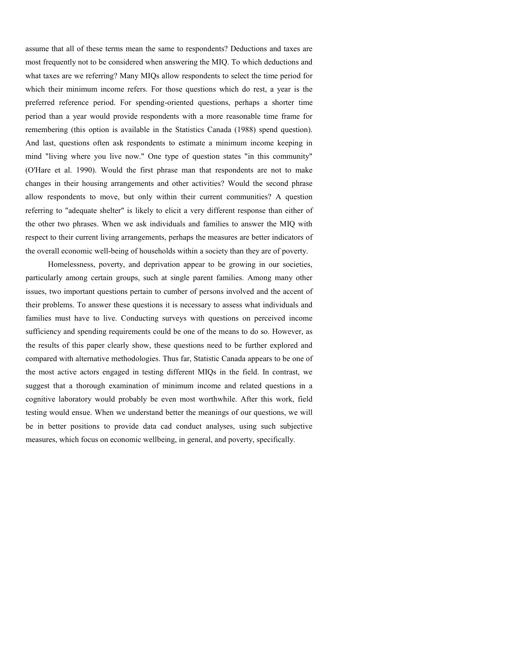assume that all of these terms mean the same to respondents? Deductions and taxes are most frequently not to be considered when answering the MIQ. To which deductions and what taxes are we referring? Many MIQs allow respondents to select the time period for which their minimum income refers. For those questions which do rest, a year is the preferred reference period. For spending-oriented questions, perhaps a shorter time period than a year would provide respondents with a more reasonable time frame for remembering (this option is available in the Statistics Canada (1988) spend question). And last, questions often ask respondents to estimate a minimum income keeping in mind "living where you live now." One type of question states "in this community" (O'Hare et al. 1990). Would the first phrase man that respondents are not to make changes in their housing arrangements and other activities? Would the second phrase allow respondents to move, but only within their current communities? A question referring to "adequate shelter" is likely to elicit a very different response than either of the other two phrases. When we ask individuals and families to answer the MIQ with respect to their current living arrangements, perhaps the measures are better indicators of the overall economic well-being of households within a society than they are of poverty.

Homelessness, poverty, and deprivation appear to be growing in our societies, particularly among certain groups, such at single parent families. Among many other issues, two important questions pertain to cumber of persons involved and the accent of their problems. To answer these questions it is necessary to assess what individuals and families must have to live. Conducting surveys with questions on perceived income sufficiency and spending requirements could be one of the means to do so. However, as the results of this paper clearly show, these questions need to be further explored and compared with alternative methodologies. Thus far, Statistic Canada appears to be one of the most active actors engaged in testing different MIQs in the field. In contrast, we suggest that a thorough examination of minimum income and related questions in a cognitive laboratory would probably be even most worthwhile. After this work, field testing would ensue. When we understand better the meanings of our questions, we will be in better positions to provide data cad conduct analyses, using such subjective measures, which focus on economic wellbeing, in general, and poverty, specifically.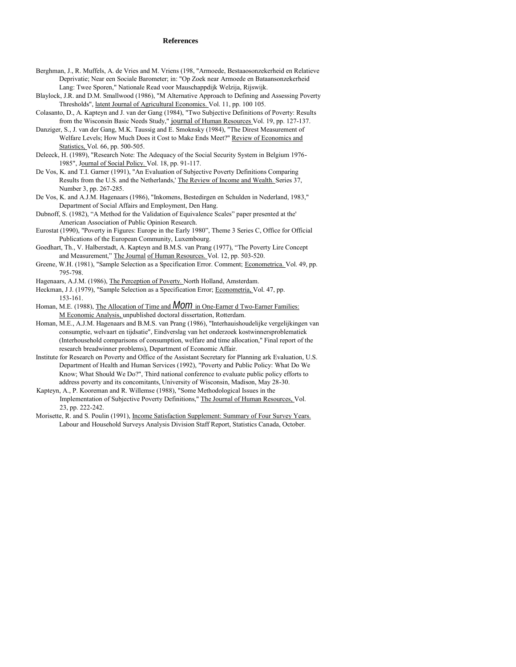### **References**

- Berghman, J., R. Muffels, A. de Vries and M. Vriens (198, "Armoede, Bestaaosonzekerheid en Relatieve Deprivatie; Near een Sociale Barometer; in: "Op Zoek near Armoede en Bataansonzekerheid Lang: Twee Sporen," Nationale Read voor Mauschappdijk Welzija, Rijswijk.
- Blaylock, J.R. and D.M. Smallwood (1986), "M Alternative Approach to Defining and Assessing Poverty Thresholds", latent Journal of Agricultural Economics. Vol. 11, pp. 100 105.
- Colasanto, D., A. Kapteyn and J. van der Gang (1984), "Two Subjective Definitions of Poverty: Results from the Wisconsin Basic Needs Study," journal of Human Resources Vol. 19, pp. 127-137.
- Danziger, S., J. van der Gang, M.K. Taussig and E. Smoknsky (1984), "The Direst Measurement of Welfare Levels; How Much Does it Cost to Make Ends Meet?" Review of Economics and Statistics, Vol. 66, pp. 500-505.
- Deleeck, H. (1989), "Research Note: The Adequacy of the Social Security System in Belgium 1976- 1985", Journal of Social Policy. Vol. 18, pp. 91-117.
- De Vos, K. and T.I. Garner (1991), "An Evaluation of Subjective Poverty Definitions Comparing Results from the U.S. and the Netherlands,' The Review of Income and Wealth. Series 37, Number 3, pp. 267-285.
- De Vos, K. and A.J.M. Hagenaars (1986), "Inkomens, Bestedirgen en Schulden in Nederland, 1983," Department of Social Affairs and Employment, Den Hang.
- Dubnoff, S. (1982), "A Method for the Validation of Equivalence Scales" paper presented at the' American Association of Public Opinion Research.
- Eurostat (1990), "Poverty in Figures: Europe in the Early 1980", Theme 3 Series C, Office for Official Publications of the European Community, Luxembourg.
- Goedhart, Th., V. Halberstadt, A. Kapteyn and B.M.S. van Prang (1977), "The Poverty Lire Concept and Measurement," The Journal of Human Resources. Vol. 12, pp. 503-520.
- Greene, W.H. (1981), "Sample Selection as a Specification Error. Comment; Econometrica. Vol. 49, pp. 795-798.
- Hagenaars, A.J.M. (1986), The Perception of Poverty. North Holland, Amsterdam.
- Heckman, J J. (1979), "Sample Selection as a Specification Error; Econometria, Vol. 47, pp. 153-161.
- Homan, M.E. (1988), The Allocation of Time and *MOM* in One-Earner d Two-Earner Families: M Economic Analysis, unpublished doctoral dissertation, Rotterdam.
- Homan, M.E., A.J.M. Hagenaars and B.M.S. van Prang (1986), "Interhauishoudelijke vergelijkingen van consumptie, welvaart en tijdsatie", Eindverslag van het onderzoek kostwinnersproblematiek (Interhousehold comparisons of consumption, welfare and time allocation," Final report of the research breadwinner problems), Department of Economic Affair.
- Institute for Research on Poverty and Office of the Assistant Secretary for Planning ark Evaluation, U.S. Department of Health and Human Services (1992), "Poverty and Public Policy: What Do We Know; What Should We Do?", Third national conference to evaluate public policy efforts to address poverty and its concomitants, University of Wisconsin, Madison, May 28-30.
- Kapteyn, A., P. Kooreman and R. Willemse (1988), "Some Methodological Issues in the Implementation of Subjective Poverty Definitions," The Journal of Human Resources, Vol. 23, pp. 222-242.
- Morisette, R. and S. Poulin (1991), Income Satisfaction Supplement: Summary of Four Survey Years. Labour and Household Surveys Analysis Division Staff Report, Statistics Canada, October.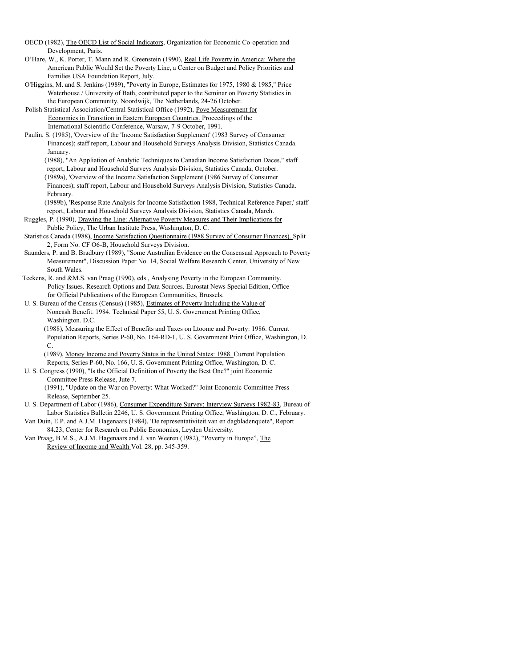- OECD (1982), The OECD List of Social Indicators, Organization for Economic Co-operation and Development, Paris.
- O'Hare, W., K. Porter, T. Mann and R. Greenstein (1990), Real Life Poverty in America: Where the American Public Would Set the Poverty Line, a Center on Budget and Policy Priorities and Families USA Foundation Report, July.
- O'Higgins, M. and S. Jenkins (1989), "Poverty in Europe, Estimates for 1975, 1980 & 1985," Price Waterhouse / University of Bath, contributed paper to the Seminar on Poverty Statistics in the European Community, Noordwijk, The Netherlands, 24-26 October.
- Polish Statistical Association/Central Statistical Office (1992), Pove Measurement for Economies in Transition in Eastern European Countries. Proceedings of the International Scientific Conference, Warsaw, 7-9 October, 1991.

Paulin, S. (1985), 'Overview of the 'Income Satisfaction Supplement' (1983 Survey of Consumer Finances); staff report, Labour and Household Surveys Analysis Division, Statistics Canada. January.

(1988), "An Appliation of Analytic Techniques to Canadian Income Satisfaction Daces," staff report, Labour and Household Surveys Analysis Division, Statistics Canada, October. (1989a), 'Overview of the Income Satisfaction Supplement (1986 Survey of Consumer Finances); staff report, Labour and Household Surveys Analysis Division, Statistics Canada. February.

(1989b), 'Response Rate Analysis for Income Satisfaction 1988, Technical Reference Paper,' staff report, Labour and Household Surveys Analysis Division, Statistics Canada, March.

Ruggles, P. (1990), Drawing the Line: Alternative Poverty Measures and Their Implications for Public Policy, The Urban Institute Press, Washington, D. C.

Statistics Canada (1988), Income Satisfaction Questionnaire (1988 Survey of Consumer Finances). Split 2, Form No. CF O6-B, Household Surveys Division.

- Saunders, P. and B. Bradbury (1989), "Some Australian Evidence on the Consensual Approach to Poverty Measurement", Discussion Paper No. 14, Social Welfare Research Center, University of New South Wales.
- Teekens, R. and &M.S. van Praag (1990), eds., Analysing Poverty in the European Community. Policy Issues. Research Options and Data Sources. Eurostat News Special Edition, Office for Official Publications of the European Communities, Brussels.
- U. S. Bureau of the Census (Census) (1985), Estimates of Poverty Including the Value of Noncash Benefit. 1984. Technical Paper 55, U. S. Government Printing Office, Washington. D.C.
	- (1988), Measuring the Effect of Benefits and Taxes on Ltoome and Poverty: 1986. Current Population Reports, Series P-60, No. 164-RD-1, U. S. Government Print Office, Washington, D. C.
	- (1989), Money Income and Poverty Status in the United States: 1988. Current Population Reports, Series P-60, No. 166, U. S. Government Printing Office, Washington, D. C.

U. S. Congress (1990), "Is the Official Definition of Poverty the Best One?" joint Economic Committee Press Release, Jute 7. (1991), "Update on the War on Poverty: What Worked?" Joint Economic Committee Press

Release, September 25. U. S. Department of Labor (1986), Consumer Expenditure Survey: Interview Surveys 1982-83, Bureau of

- Labor Statistics Bulletin 2246, U. S. Government Printing Office, Washington, D. C., February. Van Duin, E.P. and A.J.M. Hagenaars (1984), 'De representativiteit van en dagbladenquete", Report
- 84.23, Center for Research on Public Economics, Leyden University. Van Praag, B.M.S., A.J.M. Hagenaars and J. van Weeren (1982), "Poverty in Europe", The
- Review of Income and Wealth Vol. 28, pp. 345-359.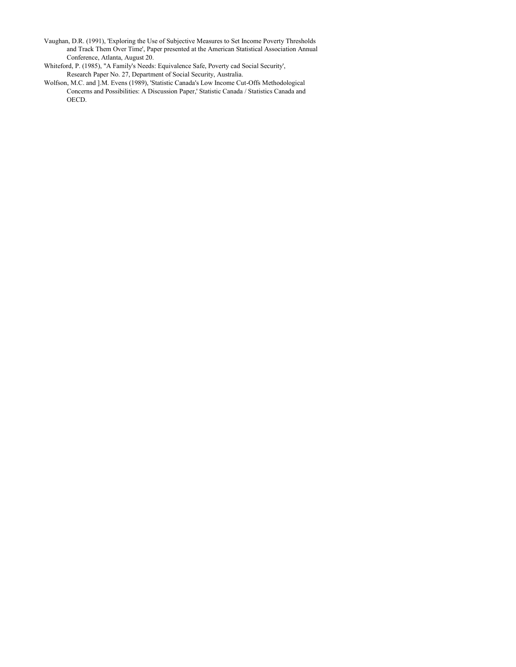- Vaughan, D.R. (1991), 'Exploring the Use of Subjective Measures to Set Income Poverty Thresholds and Track Them Over Time', Paper presented at the American Statistical Association Annual Conference, Atlanta, August 20.
- Whiteford, P. (1985), "A Family's Needs: Equivalence Safe, Poverty cad Social Security', Research Paper No. 27, Department of Social Security, Australia.
- Wolfson, M.C. and ].M. Evens (1989), 'Statistic Canada's Low Income Cut-Offs Methodological Concerns and Possibilities: A Discussion Paper,' Statistic Canada / Statistics Canada and OECD.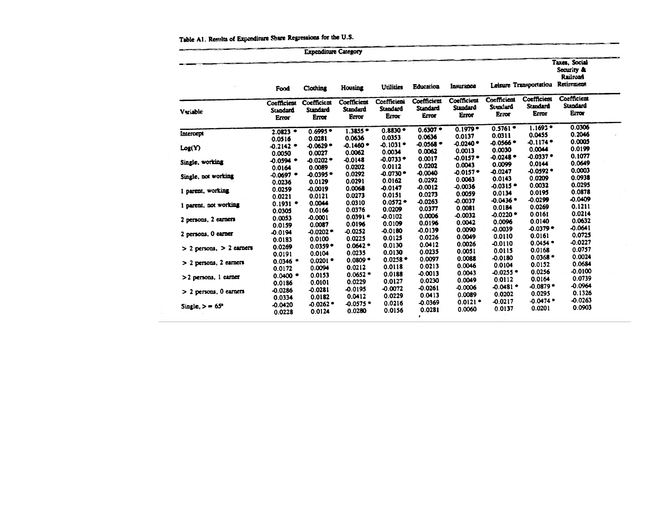| <b>Expenditure Category</b>   |                                  |                                  |                                  |                                         |                                         |                                        |                                                |                                         |                                                              |  |
|-------------------------------|----------------------------------|----------------------------------|----------------------------------|-----------------------------------------|-----------------------------------------|----------------------------------------|------------------------------------------------|-----------------------------------------|--------------------------------------------------------------|--|
|                               | Food                             | Clothing                         | Housing                          | <b>Utilities</b>                        | Education                               | Insurance                              |                                                | Leisure Transportation                  | Taxes, Social<br>Security &<br>Railroad<br><b>Retirement</b> |  |
| Variable                      | Coefficient<br>Standard<br>Error | Coefficient<br>Standard<br>Error | Coefficient<br>Standard<br>Error | Coefficient<br><b>Standard</b><br>Error | <b>Coefficient</b><br>Standard<br>Error | Coefficient<br>Standard<br>Error       | Coefficient<br><b>Standard</b><br>Error        | Coefficient<br><b>Standard</b><br>Error | Coefficient<br>Standard<br>Error                             |  |
| Intercept                     | $2.0823$ $\bullet$<br>0.0516     | $0.6995$ $\bullet$<br>0.0281     | $1.3855$ $\bullet$<br>0.0636     | $0.8830 -$<br>0.0353                    | $0.6307$ $\bullet$<br>0.0636            | 0.1979<br>0.0137                       | $0.5761$ $\bullet$<br>0.0311                   | $1.1693$ *<br>0.0455<br>$-0.1174$ $-$   | 0.0306<br>0.2046<br>0.0005                                   |  |
| Log(Y)                        | $-0.2142$ $\bullet$<br>0.0050    | $-0.0629$ *<br>0.0027            | $-0.1460$ *<br>0.0062            | $-0.1031$ $\bullet$<br>0.0034           | $-0.0568$ *<br>0.0062                   | $-0.0240$ $^{\circ}$<br>0.0013         | $-0.0566$ $+$<br>0.0030<br>$-0.0248$ $\bullet$ | 0.0044<br>$-0.0337$ $\bullet$           | 0.0199<br>0.1077                                             |  |
| Single, working               | $-0.0594$ .<br>0.0164            | $-0.0202$ $\bullet$<br>0.0089    | $-0.0148$<br>0.0202              | $-0.0733$ *<br>0.0112                   | 0.0017<br>0.0202                        | $-0.0157$ *<br>0.0043<br>$-0.0157$ $+$ | 0.0099<br>$-0.0247$                            | 0.0144<br>-0.0592 *                     | 0.0649<br>0.0003                                             |  |
| Single, not working           | $-0.0697$ $\bullet$<br>0.0236    | $-0.0395$ $\bullet$<br>0.0129    | 0.0292<br>0.0291                 | $-0.0730$ *<br>0.0162                   | $-0.0040$<br>0.0292                     | 0.0063<br>$-0.0036$                    | 0.0143<br>$-0.0315$ $+$                        | 0.0209<br>0.0032                        | 0.0938<br>0.0295                                             |  |
| 1 parent, working             | 0.0259<br>0.0221                 | $-0.0019$<br>0.0121              | 0.0068<br>0.0273                 | $-0.0147$<br>0.0151                     | $-0.0012$<br>0.0273                     | 0.0059<br>$-0.0037$                    | 0.0134<br>$-0.0436$ *                          | 0.0195<br>$-0.0299$                     | 0.0878<br>-0.0409                                            |  |
| 1 parent, not working         | $0.1931$ $\bullet$<br>0.0305     | 0.0044<br>0.0166                 | 0.0310<br>0.0376                 | $0.0572$ $\bullet$<br>0.0209            | $-0.0263$<br>0.0377<br>0.0006           | 0.0081<br>$-0.0032$                    | 0.0184<br>$-0.0220$ $\bullet$                  | 0.0269<br>0.0161                        | 0.1211<br>0.0214                                             |  |
| 2 persons, 2 earners          | 0.0053<br>0.0159                 | $-0.0001$<br>0.0087              | $0.0391$ $\bullet$<br>0.0196     | $-0.0102$<br>0.0109                     | 0.0196                                  | 0.0042<br>0.0090                       | 0.0096<br>-0.0039                              | 0.0140<br>$-0.0379$ $+$                 | 0.0632<br>$-0.0641$                                          |  |
| 2 persons, 0 earner           | $-0.0194$<br>0.0183              | $-0.0202$<br>0.0100              | $-0.0252$<br>0.0225              | $-0.0180$<br>0.0125                     | $-0.0139$<br>0.0226                     | 0.0049<br>0.0026                       | 0.0110<br>$-0.0110$                            | 0.0161<br>$0.0454$ *                    | 0.0725<br>$-0.0227$                                          |  |
| $> 2$ persons, $> 2$ earners  | 0.0269<br>0.0191                 | $0.0359$ $\bullet$<br>0.0104     | $0.0642$ *<br>0.0235             | 0.0130<br>0.0130                        | 0.0412<br>0.0235                        | 0.0051                                 | 0.0115<br>-0.0180                              | 0.0168<br>$0.0368 *$                    | 0.0757<br>0.0024                                             |  |
| > 2 persons, 2 earners        | $0.0346$ *<br>0.0172             | $0.0201$ $\bullet$<br>0.0094     | $0.0809$ *<br>0.0212             | $0.0258$ $\bullet$<br>0.0118            | 0.0097<br>0.0213                        | 0.0088<br>0.0046                       | 0.0104                                         | 0.0152<br>0.0256                        | 0.0684<br>-0.0100                                            |  |
| >2 persons, 1 earner          | $0.0400$ $\bullet$<br>0.0186     | 0.0153<br>0.0101                 | $0.0652*$<br>0.0229              | 0.0188<br>0.0127                        | $-0.0013$<br>0.0230                     | 0.0043<br>0.0049                       | $-0.0255$ *<br>0.0112                          | 0.0164                                  | 0.0739<br>$-0.0964$                                          |  |
| > 2 persons, 0 earners        | $-0.0286$<br>0.0334              | $-0.0281$<br>0.0182              | $-0.0195$<br>0.0412              | $-0.0072$<br>0.0229                     | $-0.0261$<br>0.0413                     | $-0.0006$<br>0.0089                    | $-0.0481$ *<br>0.0202                          | $-0.0879*$<br>0.0295                    | 0.1326                                                       |  |
| Single, $>$ = 65 <sup>o</sup> | -0.0420<br>0.0228                | $-0.0262$ *<br>0.0124            | $-0.0575$ *<br>0.0280            | 0.0216<br>0.0156                        | -0.0369<br>0.0281<br>٠                  | $0.0121$ *<br>0.0060                   | $-0.0217$<br>0.0137                            | $-0.0474$ *<br>0.0201                   | $-0.0263$<br>0.0903                                          |  |

Table A1. Results of Expenditure Share Regressions for the U.S.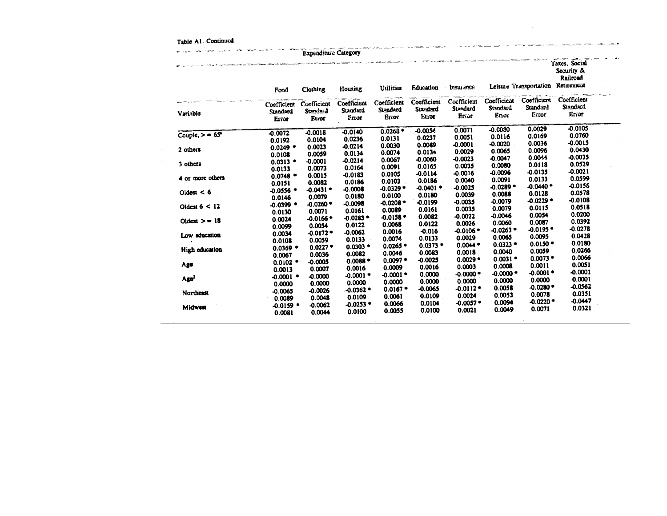## Table A1. Continued

|                                           |                       | <b>Expenditure Category</b> |             | ತ್ತು. ಗುರಿತಾ ಗಳಿತ್ತು ಪ್ರತಿಗಳನ್ನು ಕುರಿತಾ ಪ್ರಕಟಿಸಿದ್ದು, ಮಾತ್ರ ಸಂಗತಿ ಮತ್ತು ಮಾಡಿದ್ದಾರೆ. ಮಾತ್ರ ಮಾತ್ರ ಮಾತ್ರ |                  |             |                     |                        |                                                       |
|-------------------------------------------|-----------------------|-----------------------------|-------------|-------------------------------------------------------------------------------------------------------|------------------|-------------|---------------------|------------------------|-------------------------------------------------------|
|                                           |                       |                             |             |                                                                                                       |                  |             |                     |                        |                                                       |
|                                           | Food                  | Clothing                    | Housing     | <b>Utilities</b>                                                                                      | <b>Education</b> | Insurance   |                     | Leisure Transportation | Taxes, Social<br>Security &<br>Railroad<br>Retirement |
| the company of the company of the company | Coefficient           | Coefficient                 | Coefficient | Coefficient                                                                                           | Coefficient      | Coefficient | Coefficient         | Coefficient            | Coefficient                                           |
| Variable                                  | Standard              | Standard                    | Standard    | Standard                                                                                              | Standard         | Standard    | Standard            | Standard               | <b>Standard</b>                                       |
|                                           | Error                 | Error                       | Enor        | Error                                                                                                 | Enor             | Error       | Enor                | Error                  | Error                                                 |
|                                           |                       | $-0.0018$                   | $-0.0140$   | $0.0268$ *                                                                                            | $-0.0054$        | 0.0071      | $-0.0030$           | 0.0029                 | $-0.0105$                                             |
| Couple, $>$ = 65°                         | $-0.0072$             | 0.0104                      | 0.0236      | 0.0131                                                                                                | 0.0237           | 0.0051      | 0.0116              | 0.0169                 | 0.0760                                                |
|                                           | 0.0192                | 0.0023                      | $-0.0214$   | 0.0030                                                                                                | 0.0089           | $-0.0001$   | $-0.0020$           | 0.0036                 | $-0.0015$                                             |
| 2 others                                  | $0.0249$ *<br>0.0108  | 0.0059                      | 0.0134      | 0.0074                                                                                                | 0.0134           | 0.0029      | 0.0065              | 0.0096                 | 0.0430                                                |
|                                           |                       | $-0.0001$                   | $-0.0214$   | 0.0067                                                                                                | $-0.0060$        | $-0.0023$   | $-0.0047$           | 0.0044                 | $-0.0035$                                             |
| 3 others                                  | $0.0313$ $*$          | 0.0073                      | 0.0164      | 0.0091                                                                                                | 0.0165           | 0.0035      | 0.0080              | 0.0118                 | 0.0529                                                |
|                                           | 0.0133<br>$0.0748$ *  | 0.0015                      | $-0.0183$   | 0.0105                                                                                                | $-0.0114$        | $-0.0016$   | $-0.0096$           | $-0.0135$              | $-0.0021$                                             |
| 4 or more others                          | 0.0151                | 0.0082                      | 0.0186      | 0.0103                                                                                                | 0.0186           | 0.0040      | 0.0091              | 0.0133                 | 0.0599                                                |
|                                           |                       | $-0.0431$ *                 | $-0.0008$   | $-0.0329$ *                                                                                           | $-0.0401$ *      | $-0.0025$   | $-0.0289$ $\bullet$ | $-0.0440$ $*$          | $-0.0156$                                             |
| Oldest $< 6$                              | $-0.0556$ *<br>0.0146 | 0.0079                      | 0.0180      | 0.0100                                                                                                | 0.0180           | 0.0039      | 0.0088              | 0.0128                 | 0.0578                                                |
|                                           | $-0.0399$ *           | $-0.0260$ *                 | $-0.0098$   | $-0.0208$ *                                                                                           | $-0.0199$        | $-0.0035$   | $-0.0079$           | $-0.0229$ *            | $-0.0108$                                             |
| Oldest $6 < 12$                           | 0.0130                | 0.0071                      | 0.0161      | 0.0089                                                                                                | 0.0161           | 0.0035      | 0.0079              | 0.0115                 | 0.0518                                                |
|                                           | 0.0024                | -0.0166 *                   | $-0.0283$ * | $-0.0158$ *                                                                                           | 0.0082           | $-0.0022$   | $-0.0046$           | 0.0054                 | 0.0200                                                |
| $Oldest > = 18$                           | 0.0099                | 0.0054                      | 0.0122      | 0.0068                                                                                                | 0.0122           | 0.0026      | 0.0060              | 0.0087                 | 0.0392                                                |
|                                           | 0.0034                | $-0.0172 +$                 | $-0.0062$   | 0.0016                                                                                                | $-0.016$         | $-0.0106$ * | $-0.0263$ $\bullet$ | -0.0195 *              | $-0.0278$                                             |
| Low education                             | 0.0108                | 0.0059                      | 0.0133      | 0.0074                                                                                                | 0.0133           | 0.0029      | 0.0065              | 0.0095                 | 0.0428                                                |
|                                           | $0.0369$ *            | $0.0227$ *                  | $0.0303*$   | $0.0265$ *                                                                                            | $0.0373$ *       | $0.0044$ *  | $0.0323$ $\bullet$  | $0.0150$ *             | 0.0180                                                |
| High education                            | 0.0067                | 0.0036                      | 0.0082      | 0.0046                                                                                                | 0.0083           | 0.0018      | 0.0040              | 0.0059                 | 0.0266                                                |
|                                           | $0.0102$ *            | $-0.0005$                   | $0.0088*$   | $0.0097*$                                                                                             | $-0.0025$        | $0.0029*$   | $0.0031$ *          | $0.0073$ *             | 0.0066                                                |
| Age                                       | 0.0013                | 0.0007                      | 0.0016      | 0.0009                                                                                                | 0.0016           | 0.0003      | 0.0008              | 0.0011                 | 0.0051                                                |
|                                           | $-0.0001$ *           | $-0.0000$                   | $-0.0001$ * | $-0.0001$ *                                                                                           | 0.0000           | $-0.0000$ . | $-0.0000$ $-$       | $-0.0001$ *            | $-0.0001$                                             |
| Age                                       | 0.0000                | 0.0000                      | 0.0000      | 0.0000                                                                                                | 0.0000           | 0.0000      | 0.0000              | 0.0000                 | 0.0001                                                |
|                                           | $-0.0065$             | $-0.0026$                   | $-0.0362$ * | $0.0167*$                                                                                             | $-0.0065$        | $-0.0112$ * | 0.0058              | $-0.0280$ *            | $-0.0562$                                             |
| Northeast                                 | 0.0089                | 0.0048                      | 0.0109      | 0.0061                                                                                                | 0.0109           | 0.0024      | 0.0053              | 0.0078                 | 0.0351                                                |
|                                           | $-0.0159$ *           | $-0.0062$                   | $-0.0253$ * | 0.0066                                                                                                | 0.0104           | $-0.0057$ * | 0.0094              | $-0.0220$ *            | -0.0447                                               |
| Midwest                                   | 0.0081                | 0.0044                      | 0.0100      | 0.0055                                                                                                | 0.0100           | 0.0021      | 0.0049              | 0.0071                 | 0.0321                                                |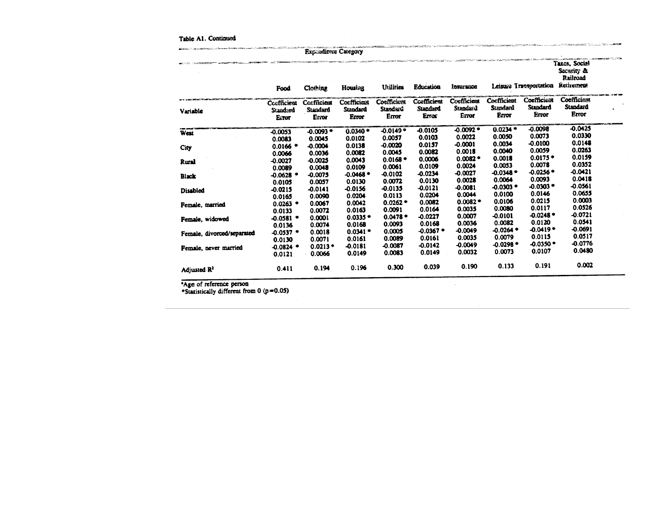Table A1. Continued

|                            |                                 | <b>Expording Category</b>              |                                  |                                                |                                         |                                  |                                  |                                        |                                                       |  |
|----------------------------|---------------------------------|----------------------------------------|----------------------------------|------------------------------------------------|-----------------------------------------|----------------------------------|----------------------------------|----------------------------------------|-------------------------------------------------------|--|
|                            | Food                            | Clothing                               | Housing                          | Utilities                                      | <b>Education</b>                        | Insurance                        |                                  | Leisure Transportation                 | Taxes, Social<br>Security &<br>Railroad<br>Retirement |  |
| Variable                   | Coefficient<br>Standard<br>Eror | Coefficient<br><b>Standard</b><br>Enor | Coefficient<br>Standard<br>Error | <b>Confficient</b><br><b>Standard</b><br>Error | Coefficient<br><b>Standard</b><br>Error | Coefficient<br>Standard<br>Error | Coefficient<br>Standard<br>Error | Coefficient<br><b>Sundard</b><br>Error | Coefficient<br>Standard<br>Error                      |  |
| West                       | $-0.0053$                       | $-0.0093$ *                            | $0.0340*$                        | $-0.0149$ <sup>*</sup>                         | $-0.0105$                               | $-0.0092$ *                      | $0.0234$ *                       | $-0.0098$<br>0.0073                    | $-0.0425$<br>0.0330                                   |  |
|                            | 0.0083                          | 0.0045                                 | 0.0102                           | 0.0057                                         | 0.0103                                  | 0.0022                           | 0.0050<br>0.0034                 | $-0.0100$                              | 0.0148                                                |  |
| City                       | $0.0166$ *                      | -0.0004                                | 0.0138                           | $-0.0020$                                      | 0.0157                                  | $-0.0001$                        | 0.0040                           | 0.0059                                 | 0.0263                                                |  |
|                            | 0.0066                          | 0.0036                                 | 0.0082                           | 0.0045                                         | 0.0082                                  | 0.0018                           | 0.0018                           | $0.0175$ *                             | 0.0159                                                |  |
| Rural                      | $-0.0027$                       | $-0.0025$                              | 0.0043                           | $0.0168$ *                                     | 0.0006                                  | $0.0082$ *                       | 0.0053                           | 0.0078                                 | 0.0352                                                |  |
|                            | 0.0089                          | 0.0048                                 | 0.0109                           | 0.0061                                         | 0.0109                                  | 0.0024                           | $-0.0348$ *                      | $-0.0256$ *                            | $-0.0421$                                             |  |
| Black                      | $-0.0628$ *                     | $-0.0075$                              | $-0.0468$ *                      | $-0.0102$                                      | $-0.0234$                               | $-0.0027$                        | 0.0064                           | 0.0093                                 | 0.0418                                                |  |
|                            | 0.0105                          | 0.0057                                 | 0.0130                           | 0.0072                                         | 0.0130                                  | 0.0028                           | $-0.0303$ *                      | $-0.0303$ *                            | $-0.0561$                                             |  |
| Disabled                   | $-0.0215$                       | $-0.0141$                              | $-0.0156$                        | $-0.0135$                                      | $-0.0121$                               | $-0.0081$                        | 0.0100                           | 0.0146                                 | 0.0655                                                |  |
|                            | 0.0165                          | 0.0090                                 | 0.0204                           | 0.0113                                         | 0.0204                                  | 0.0044                           | 0.0106                           | 0.0215                                 | 0.0003                                                |  |
| Female, married            | $0.0263$ $\bullet$              | 0.0067                                 | 0.0042                           | $0.0262$ *                                     | 0.0082                                  | $0.0082*$<br>0.0035              | 0.0080                           | 0.0117                                 | 0.0526                                                |  |
|                            | 0.0133                          | 0.0072                                 | 0.0163                           | 0.0091                                         | 0.0164                                  | 0.0007                           | $-0.0101$                        | $-0.0248$ *                            | $-0.0721$                                             |  |
| Female, widowed            | $-0.0581$ *                     | 0.0001                                 | $0.0335$ $*$                     | $0.0478*$                                      | $-0.0227$                               | 0.0036                           | 0.0082                           | 0.0120                                 | 0.0541                                                |  |
|                            | 0.0136                          | 0.0074                                 | 0.0168                           | 0.0093                                         | 0.0168                                  | $-0.0049$                        | $-0.0264$ *                      | $-0.0419$ *                            | $-0.0691$                                             |  |
| Female, divorced/separated | $-0.0537$ $*$                   | 0.0018                                 | $0.0341$ *                       | 0.0005                                         | $-0.0367$ *                             | 0.0035                           | 0.0079                           | 0.0115                                 | 0.0517                                                |  |
|                            | 0.0130                          | 0.0071                                 | 0.0161                           | 0.0089                                         | 0.0161                                  | $-0.0049$                        | $-0.0298$ *                      | $-0.0350 +$                            | $-0.0776$                                             |  |
| Female, never married      | $-0.0824$ $\bullet$             | $0.0213 +$                             | $-0.0181$                        | $-0.0087$                                      | $-0.0142$                               | 0.0032                           | 0.0073                           | 0.0107                                 | 0.0480                                                |  |
|                            | 0.0121                          | 0.0066                                 | 0.0149                           | 0.0083                                         | 0.0149                                  |                                  |                                  |                                        |                                                       |  |
| Adjusted R <sup>2</sup>    | 0.411                           | 0.194                                  | 0.196                            | 0.300                                          | 0.039                                   | 0.190                            | 0.133                            | 0.191                                  | 0.002                                                 |  |

 $\mathcal{L}^{\mathcal{L}}$ 

Age of reference person<br>\*Statistically different from 0  $(p=0.05)$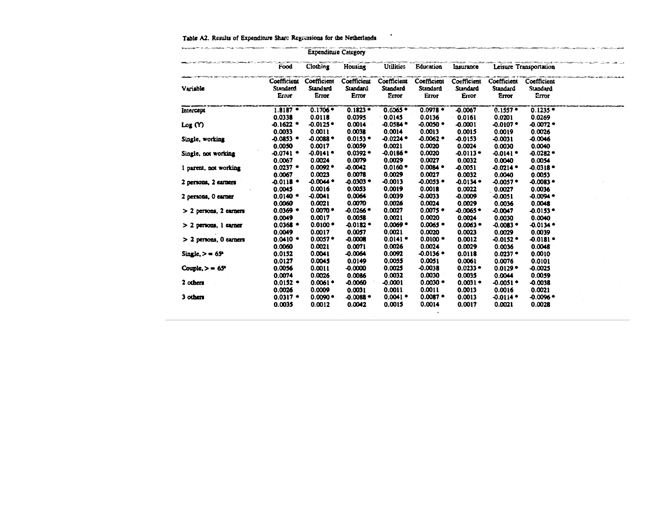#### Table A2. Results of Expenditure Share Regressions for the Netherlands

|                          | <b>Expenditure Category</b> |                 |              |                 |                     |               |              |                        |  |
|--------------------------|-----------------------------|-----------------|--------------|-----------------|---------------------|---------------|--------------|------------------------|--|
|                          | Food                        | Clothing        | Housing      | Utilities       | Education           | Insurance     |              | Leisure Transportation |  |
|                          | Coefficient                 | Coefficient     | Coefficient  | Coefficient     | Coefficient         | Coefficient   | Coefficient  | Coefficient            |  |
| Variable                 | <b>Standard</b>             | <b>Standard</b> | Standard     | <b>Standard</b> | <b>Standard</b>     | Standard      | Standard     | Standard               |  |
|                          | Error                       | Error           | Error        | Error           | Error               | Error         | Error        | Error                  |  |
| Intercept                | $1.8187$ $*$                | $0.1706$ *      | $0.1823 -$   | $0.6065$ *      | $0.0978 -$          | $-0.0067$     | $0.1557$ $*$ | $0.1235 +$             |  |
|                          | 0.0338                      | 0.0118          | 0.0395       | 0.0145          | 0.0136              | 0.0161        | 0.0201       | 0.0269                 |  |
| Log(N)                   | $-0.1622$ *                 | $-0.0125$       | 0.0014       | $-0.0584$ *     | $-0.0050$ $*$       | $-0.0001$     | $-0.0107$ *  | $-0.0072$ *            |  |
|                          | 0.0033                      | 0.0011          | 0.0038       | 0.0014          | 0.0013              | 0.0015        | 0.0019       | 0.0026                 |  |
| Single, working          | $-0.0853$ $*$               | $-0.0088$ *     | $0.0153$ $*$ | $-0.0224$ *     | $-0.0062$ *         | -0.0153       | $-0.0031$    | $-0.0046$              |  |
|                          | 0.0050                      | 0.0017          | 0.0059       | 0.0021          | 0.0020              | 0.0024        | 0.0030       | 0.0040                 |  |
| Single, not working      | $-0.0741$ *                 | $-0.0141$ *     | $0.0392$ *   | $-0.0186$ *     | 0.0020              | $-0.0113$ $+$ | $-0.0141$ *  | $-0.0282$ *            |  |
|                          | 0.0067                      | 0.0024          | 0.0079       | 0.0029          | 0.0027              | 0.0032        | 0.0040       | 0.0054                 |  |
| 1 parent, not working    | $0.0237$ $*$                | $0.0092$ *      | $-0.0042$    | $0.0160$ *      | $0.0084$ *          | $-0.0051$     | $-0.0214$ *  | $-0.0318$ *            |  |
|                          | 0.0067                      | 0.0023          | 0.0078       | 0.0029          | 0.0027              | 0.0032        | 0.0040       | 0.0053                 |  |
| 2 persons, 2 earners     | $-0.0118$ *                 | $-0.0044*$      | $-0.0303$ *  | $-0.0013$       | $-0.0053$ $\bullet$ | $-0.0134$ *   | $-0.0057$ *  | $-0.0083 -$            |  |
|                          | 0.0045                      | 0.0016          | 0.0053       | 0.0019          | 0.0018              | 0.0022        | 0.0027       | 0.0036                 |  |
| 2 persons, 0 earner      | $0.0140$ *                  | $-0.0041$       | 0.0064       | 0.0039          | $-0.0033$           | $-0.0009$     | $-0.0051$    | $-0.0094$ *            |  |
|                          | 0.0060                      | 0.0021          | 0.0070       | 0.0026          | 0.0024              | 0.0029        | 0.0036       | 0.0048                 |  |
| $> 2$ persons, 2 earners | $0.0369$ $*$                | $0.0070*$       | $-0.0266$ *  | 0.0027          | $0.0075$ *          | $-0.0065$ *   | $-0.0047$    | $-0.0153$ *            |  |
|                          | 0.0049                      | 0.0017          | 0.0058       | 0.0021          | 0.0020              | 0.0024        | 0.0030       | 0.0040                 |  |
| $> 2$ persons, 1 carner  | $0.0368$ *                  | $0.0100*$       | $-0.0182$ *  | $0.0069$ *      | $0.0065$ $*$        | $0.0063$ $*$  | $-0.0083$ *  | $-0.0134$ *            |  |
|                          | 0.0049                      | 0.0017          | 0.0057       | 0.0021          | 0.0020              | 0.0023        | 0.0029       | 0.0039                 |  |
| $> 2$ persons, 0 carners | $0.0410 -$                  | $0.0057*$       | $-0.0008$    | $0.0141$ *      | $0.0100 -$          | 0.0012        | $-0.0152$ *  | $-0.0181$ *            |  |
|                          | 0.0060                      | 0.0021          | 0.0071       | 0.0026          | 0.0024              | 0.0029        | 0.0036       | 0.0048                 |  |
| Single, $>$ = 65°        | 0.0152                      | 0.0041          | $-0.0064$    | 0.0092          | $-0.0136$ $\bullet$ | 0.0118        | $0.0237 -$   | 0.0010                 |  |
|                          | 0.0127                      | 0.0045          | 0.0149       | 0.0055          | 0.0051              | 0.0061        | 0.0076       | 0.0101                 |  |
| $Couple. > = 65$         | 0.0056                      | 0.0011          | $-0.0000$    | 0.0025          | $-0.0038$           | $0.0233 -$    | $0.0129$ *   | $-0.0025$              |  |
|                          | 0.0074                      | 0.0026          | 0.0086       | 0.0032          | 0.0030              | 0.0035        | 0.0044       | 0.0059                 |  |
| 2 others                 | $0.0152 -$                  | $0.0061$ *      | $-0.0060$    | -0.0001         | $0.0030$ *          | $0.0031 -$    | $-0.0051$ *  | $-0.0038$              |  |
|                          |                             |                 |              |                 |                     |               |              |                        |  |
|                          | 0.0026                      | 0.0009          | 0.0031       | 0.0011          | 0.0011              | 0.0013        | 0.0016       | 0.0021                 |  |
| 3 others                 | $0.0317 -$                  | $0.0090 *$      | $-0.0088$ *  | $0.0041$ *      | $0.0087$ *          | 0.0013        | $-0.0114$ *  | $-0.0096$ *            |  |
|                          | 0.0035                      | 0.0012          | 0.0042       | 0.0015          | 0.0014              | 0.0017        | 0.0021       | 0.0028                 |  |